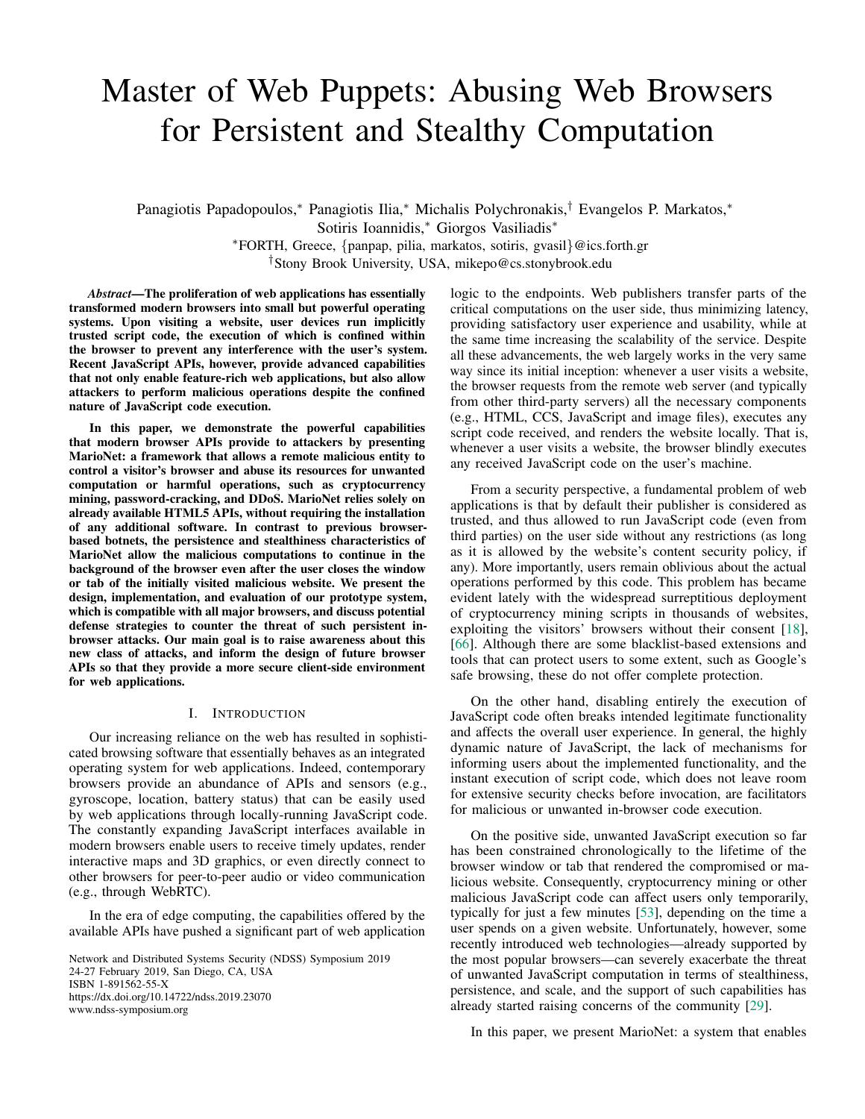# Master of Web Puppets: Abusing Web Browsers for Persistent and Stealthy Computation

Panagiotis Papadopoulos,<sup>∗</sup> Panagiotis Ilia,<sup>∗</sup> Michalis Polychronakis,† Evangelos P. Markatos,<sup>∗</sup> Sotiris Ioannidis,<sup>∗</sup> Giorgos Vasiliadis<sup>∗</sup> <sup>∗</sup>FORTH, Greece, {panpap, pilia, markatos, sotiris, gvasil}@ics.forth.gr †Stony Brook University, USA, mikepo@cs.stonybrook.edu

*Abstract*—The proliferation of web applications has essentially transformed modern browsers into small but powerful operating systems. Upon visiting a website, user devices run implicitly trusted script code, the execution of which is confined within the browser to prevent any interference with the user's system. Recent JavaScript APIs, however, provide advanced capabilities that not only enable feature-rich web applications, but also allow attackers to perform malicious operations despite the confined nature of JavaScript code execution.

In this paper, we demonstrate the powerful capabilities that modern browser APIs provide to attackers by presenting MarioNet: a framework that allows a remote malicious entity to control a visitor's browser and abuse its resources for unwanted computation or harmful operations, such as cryptocurrency mining, password-cracking, and DDoS. MarioNet relies solely on already available HTML5 APIs, without requiring the installation of any additional software. In contrast to previous browserbased botnets, the persistence and stealthiness characteristics of MarioNet allow the malicious computations to continue in the background of the browser even after the user closes the window or tab of the initially visited malicious website. We present the design, implementation, and evaluation of our prototype system, which is compatible with all major browsers, and discuss potential defense strategies to counter the threat of such persistent inbrowser attacks. Our main goal is to raise awareness about this new class of attacks, and inform the design of future browser APIs so that they provide a more secure client-side environment for web applications.

# I. INTRODUCTION

Our increasing reliance on the web has resulted in sophisticated browsing software that essentially behaves as an integrated operating system for web applications. Indeed, contemporary browsers provide an abundance of APIs and sensors (e.g., gyroscope, location, battery status) that can be easily used by web applications through locally-running JavaScript code. The constantly expanding JavaScript interfaces available in modern browsers enable users to receive timely updates, render interactive maps and 3D graphics, or even directly connect to other browsers for peer-to-peer audio or video communication (e.g., through WebRTC).

In the era of edge computing, the capabilities offered by the available APIs have pushed a significant part of web application

Network and Distributed Systems Security (NDSS) Symposium 2019 24-27 February 2019, San Diego, CA, USA ISBN 1-891562-55-X https://dx.doi.org/10.14722/ndss.2019.23070 www.ndss-symposium.org

logic to the endpoints. Web publishers transfer parts of the critical computations on the user side, thus minimizing latency, providing satisfactory user experience and usability, while at the same time increasing the scalability of the service. Despite all these advancements, the web largely works in the very same way since its initial inception: whenever a user visits a website, the browser requests from the remote web server (and typically from other third-party servers) all the necessary components (e.g., HTML, CCS, JavaScript and image files), executes any script code received, and renders the website locally. That is, whenever a user visits a website, the browser blindly executes any received JavaScript code on the user's machine.

From a security perspective, a fundamental problem of web applications is that by default their publisher is considered as trusted, and thus allowed to run JavaScript code (even from third parties) on the user side without any restrictions (as long as it is allowed by the website's content security policy, if any). More importantly, users remain oblivious about the actual operations performed by this code. This problem has became evident lately with the widespread surreptitious deployment of cryptocurrency mining scripts in thousands of websites, exploiting the visitors' browsers without their consent [\[18\]](#page-13-0), [\[66\]](#page-14-0). Although there are some blacklist-based extensions and tools that can protect users to some extent, such as Google's safe browsing, these do not offer complete protection.

On the other hand, disabling entirely the execution of JavaScript code often breaks intended legitimate functionality and affects the overall user experience. In general, the highly dynamic nature of JavaScript, the lack of mechanisms for informing users about the implemented functionality, and the instant execution of script code, which does not leave room for extensive security checks before invocation, are facilitators for malicious or unwanted in-browser code execution.

On the positive side, unwanted JavaScript execution so far has been constrained chronologically to the lifetime of the browser window or tab that rendered the compromised or malicious website. Consequently, cryptocurrency mining or other malicious JavaScript code can affect users only temporarily, typically for just a few minutes [\[53\]](#page-14-1), depending on the time a user spends on a given website. Unfortunately, however, some recently introduced web technologies—already supported by the most popular browsers—can severely exacerbate the threat of unwanted JavaScript computation in terms of stealthiness, persistence, and scale, and the support of such capabilities has already started raising concerns of the community [\[29\]](#page-14-2).

In this paper, we present MarioNet: a system that enables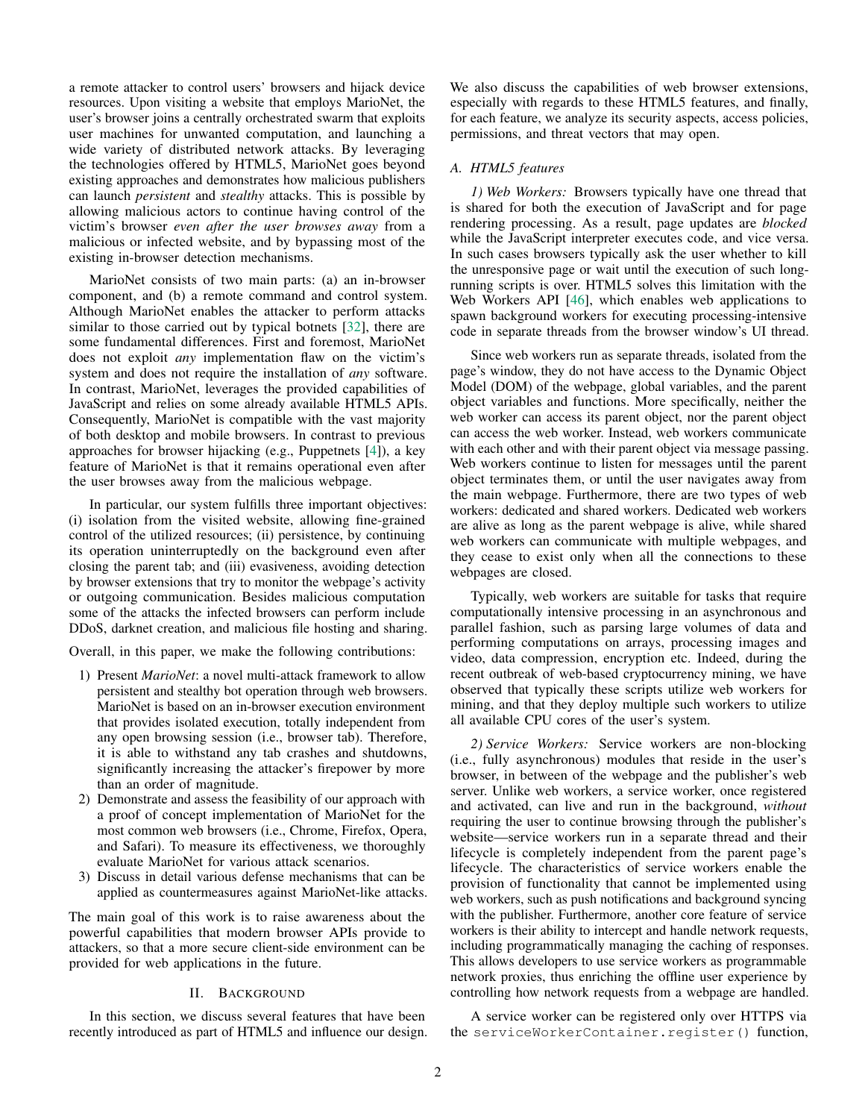a remote attacker to control users' browsers and hijack device resources. Upon visiting a website that employs MarioNet, the user's browser joins a centrally orchestrated swarm that exploits user machines for unwanted computation, and launching a wide variety of distributed network attacks. By leveraging the technologies offered by HTML5, MarioNet goes beyond existing approaches and demonstrates how malicious publishers can launch *persistent* and *stealthy* attacks. This is possible by allowing malicious actors to continue having control of the victim's browser *even after the user browses away* from a malicious or infected website, and by bypassing most of the existing in-browser detection mechanisms.

MarioNet consists of two main parts: (a) an in-browser component, and (b) a remote command and control system. Although MarioNet enables the attacker to perform attacks similar to those carried out by typical botnets [\[32\]](#page-14-3), there are some fundamental differences. First and foremost, MarioNet does not exploit *any* implementation flaw on the victim's system and does not require the installation of *any* software. In contrast, MarioNet, leverages the provided capabilities of JavaScript and relies on some already available HTML5 APIs. Consequently, MarioNet is compatible with the vast majority of both desktop and mobile browsers. In contrast to previous approaches for browser hijacking (e.g., Puppetnets [\[4\]](#page-13-1)), a key feature of MarioNet is that it remains operational even after the user browses away from the malicious webpage.

In particular, our system fulfills three important objectives: (i) isolation from the visited website, allowing fine-grained control of the utilized resources; (ii) persistence, by continuing its operation uninterruptedly on the background even after closing the parent tab; and (iii) evasiveness, avoiding detection by browser extensions that try to monitor the webpage's activity or outgoing communication. Besides malicious computation some of the attacks the infected browsers can perform include DDoS, darknet creation, and malicious file hosting and sharing.

Overall, in this paper, we make the following contributions:

- 1) Present *MarioNet*: a novel multi-attack framework to allow persistent and stealthy bot operation through web browsers. MarioNet is based on an in-browser execution environment that provides isolated execution, totally independent from any open browsing session (i.e., browser tab). Therefore, it is able to withstand any tab crashes and shutdowns, significantly increasing the attacker's firepower by more than an order of magnitude.
- 2) Demonstrate and assess the feasibility of our approach with a proof of concept implementation of MarioNet for the most common web browsers (i.e., Chrome, Firefox, Opera, and Safari). To measure its effectiveness, we thoroughly evaluate MarioNet for various attack scenarios.
- 3) Discuss in detail various defense mechanisms that can be applied as countermeasures against MarioNet-like attacks.

The main goal of this work is to raise awareness about the powerful capabilities that modern browser APIs provide to attackers, so that a more secure client-side environment can be provided for web applications in the future.

# II. BACKGROUND

<span id="page-1-1"></span>In this section, we discuss several features that have been recently introduced as part of HTML5 and influence our design. We also discuss the capabilities of web browser extensions, especially with regards to these HTML5 features, and finally, for each feature, we analyze its security aspects, access policies, permissions, and threat vectors that may open.

# *A. HTML5 features*

*1) Web Workers:* Browsers typically have one thread that is shared for both the execution of JavaScript and for page rendering processing. As a result, page updates are *blocked* while the JavaScript interpreter executes code, and vice versa. In such cases browsers typically ask the user whether to kill the unresponsive page or wait until the execution of such longrunning scripts is over. HTML5 solves this limitation with the Web Workers API [\[46\]](#page-14-4), which enables web applications to spawn background workers for executing processing-intensive code in separate threads from the browser window's UI thread.

Since web workers run as separate threads, isolated from the page's window, they do not have access to the Dynamic Object Model (DOM) of the webpage, global variables, and the parent object variables and functions. More specifically, neither the web worker can access its parent object, nor the parent object can access the web worker. Instead, web workers communicate with each other and with their parent object via message passing. Web workers continue to listen for messages until the parent object terminates them, or until the user navigates away from the main webpage. Furthermore, there are two types of web workers: dedicated and shared workers. Dedicated web workers are alive as long as the parent webpage is alive, while shared web workers can communicate with multiple webpages, and they cease to exist only when all the connections to these webpages are closed.

Typically, web workers are suitable for tasks that require computationally intensive processing in an asynchronous and parallel fashion, such as parsing large volumes of data and performing computations on arrays, processing images and video, data compression, encryption etc. Indeed, during the recent outbreak of web-based cryptocurrency mining, we have observed that typically these scripts utilize web workers for mining, and that they deploy multiple such workers to utilize all available CPU cores of the user's system.

<span id="page-1-0"></span>*2) Service Workers:* Service workers are non-blocking (i.e., fully asynchronous) modules that reside in the user's browser, in between of the webpage and the publisher's web server. Unlike web workers, a service worker, once registered and activated, can live and run in the background, *without* requiring the user to continue browsing through the publisher's website—service workers run in a separate thread and their lifecycle is completely independent from the parent page's lifecycle. The characteristics of service workers enable the provision of functionality that cannot be implemented using web workers, such as push notifications and background syncing with the publisher. Furthermore, another core feature of service workers is their ability to intercept and handle network requests, including programmatically managing the caching of responses. This allows developers to use service workers as programmable network proxies, thus enriching the offline user experience by controlling how network requests from a webpage are handled.

A service worker can be registered only over HTTPS via the serviceWorkerContainer.register() function,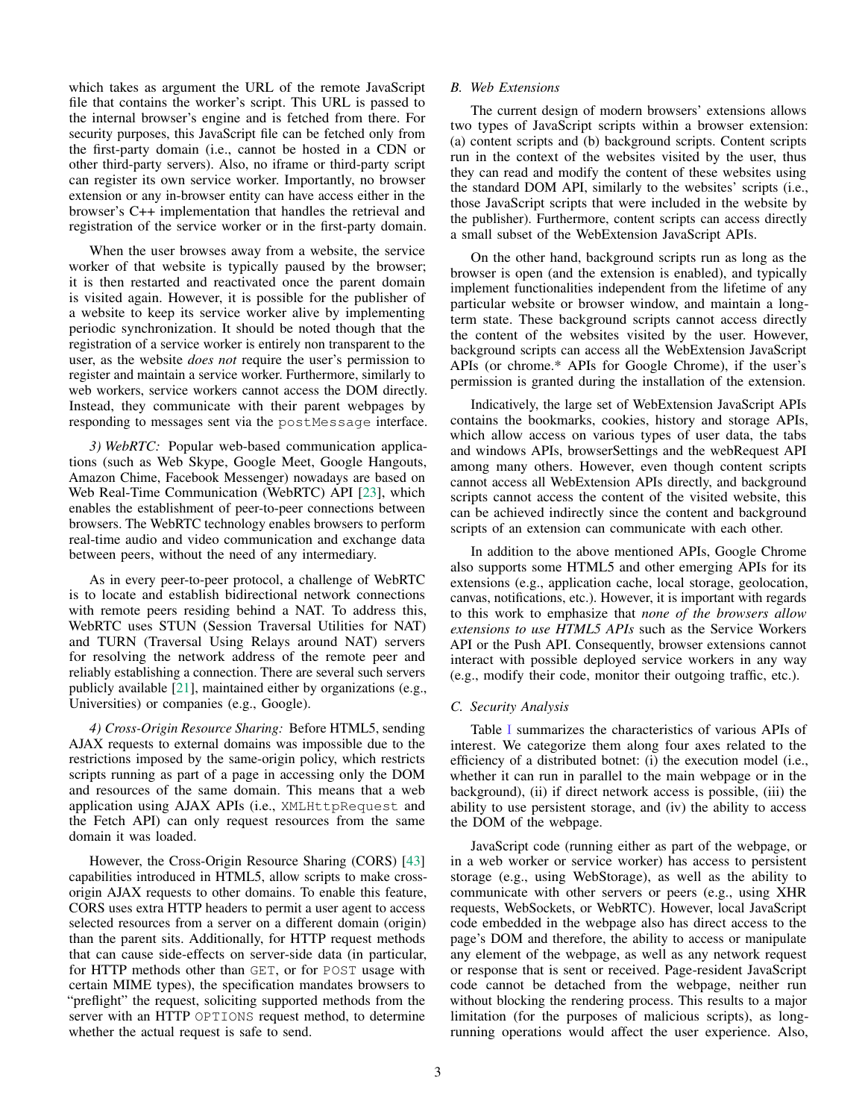which takes as argument the URL of the remote JavaScript file that contains the worker's script. This URL is passed to the internal browser's engine and is fetched from there. For security purposes, this JavaScript file can be fetched only from the first-party domain (i.e., cannot be hosted in a CDN or other third-party servers). Also, no iframe or third-party script can register its own service worker. Importantly, no browser extension or any in-browser entity can have access either in the browser's C++ implementation that handles the retrieval and registration of the service worker or in the first-party domain.

When the user browses away from a website, the service worker of that website is typically paused by the browser; it is then restarted and reactivated once the parent domain is visited again. However, it is possible for the publisher of a website to keep its service worker alive by implementing periodic synchronization. It should be noted though that the registration of a service worker is entirely non transparent to the user, as the website *does not* require the user's permission to register and maintain a service worker. Furthermore, similarly to web workers, service workers cannot access the DOM directly. Instead, they communicate with their parent webpages by responding to messages sent via the postMessage interface.

*3) WebRTC:* Popular web-based communication applications (such as Web Skype, Google Meet, Google Hangouts, Amazon Chime, Facebook Messenger) nowadays are based on Web Real-Time Communication (WebRTC) API [\[23\]](#page-13-2), which enables the establishment of peer-to-peer connections between browsers. The WebRTC technology enables browsers to perform real-time audio and video communication and exchange data between peers, without the need of any intermediary.

As in every peer-to-peer protocol, a challenge of WebRTC is to locate and establish bidirectional network connections with remote peers residing behind a NAT. To address this, WebRTC uses STUN (Session Traversal Utilities for NAT) and TURN (Traversal Using Relays around NAT) servers for resolving the network address of the remote peer and reliably establishing a connection. There are several such servers publicly available [\[21\]](#page-13-3), maintained either by organizations (e.g., Universities) or companies (e.g., Google).

<span id="page-2-1"></span>*4) Cross-Origin Resource Sharing:* Before HTML5, sending AJAX requests to external domains was impossible due to the restrictions imposed by the same-origin policy, which restricts scripts running as part of a page in accessing only the DOM and resources of the same domain. This means that a web application using AJAX APIs (i.e., XMLHttpRequest and the Fetch API) can only request resources from the same domain it was loaded.

However, the Cross-Origin Resource Sharing (CORS) [\[43\]](#page-14-5) capabilities introduced in HTML5, allow scripts to make crossorigin AJAX requests to other domains. To enable this feature, CORS uses extra HTTP headers to permit a user agent to access selected resources from a server on a different domain (origin) than the parent sits. Additionally, for HTTP request methods that can cause side-effects on server-side data (in particular, for HTTP methods other than GET, or for POST usage with certain MIME types), the specification mandates browsers to "preflight" the request, soliciting supported methods from the server with an HTTP OPTIONS request method, to determine whether the actual request is safe to send.

# <span id="page-2-0"></span>*B. Web Extensions*

The current design of modern browsers' extensions allows two types of JavaScript scripts within a browser extension: (a) content scripts and (b) background scripts. Content scripts run in the context of the websites visited by the user, thus they can read and modify the content of these websites using the standard DOM API, similarly to the websites' scripts (i.e., those JavaScript scripts that were included in the website by the publisher). Furthermore, content scripts can access directly a small subset of the WebExtension JavaScript APIs.

On the other hand, background scripts run as long as the browser is open (and the extension is enabled), and typically implement functionalities independent from the lifetime of any particular website or browser window, and maintain a longterm state. These background scripts cannot access directly the content of the websites visited by the user. However, background scripts can access all the WebExtension JavaScript APIs (or chrome.\* APIs for Google Chrome), if the user's permission is granted during the installation of the extension.

Indicatively, the large set of WebExtension JavaScript APIs contains the bookmarks, cookies, history and storage APIs, which allow access on various types of user data, the tabs and windows APIs, browserSettings and the webRequest API among many others. However, even though content scripts cannot access all WebExtension APIs directly, and background scripts cannot access the content of the visited website, this can be achieved indirectly since the content and background scripts of an extension can communicate with each other.

In addition to the above mentioned APIs, Google Chrome also supports some HTML5 and other emerging APIs for its extensions (e.g., application cache, local storage, geolocation, canvas, notifications, etc.). However, it is important with regards to this work to emphasize that *none of the browsers allow extensions to use HTML5 APIs* such as the Service Workers API or the Push API. Consequently, browser extensions cannot interact with possible deployed service workers in any way (e.g., modify their code, monitor their outgoing traffic, etc.).

## *C. Security Analysis*

Table [I](#page-3-0) summarizes the characteristics of various APIs of interest. We categorize them along four axes related to the efficiency of a distributed botnet: (i) the execution model (i.e., whether it can run in parallel to the main webpage or in the background), (ii) if direct network access is possible, (iii) the ability to use persistent storage, and (iv) the ability to access the DOM of the webpage.

JavaScript code (running either as part of the webpage, or in a web worker or service worker) has access to persistent storage (e.g., using WebStorage), as well as the ability to communicate with other servers or peers (e.g., using XHR requests, WebSockets, or WebRTC). However, local JavaScript code embedded in the webpage also has direct access to the page's DOM and therefore, the ability to access or manipulate any element of the webpage, as well as any network request or response that is sent or received. Page-resident JavaScript code cannot be detached from the webpage, neither run without blocking the rendering process. This results to a major limitation (for the purposes of malicious scripts), as longrunning operations would affect the user experience. Also,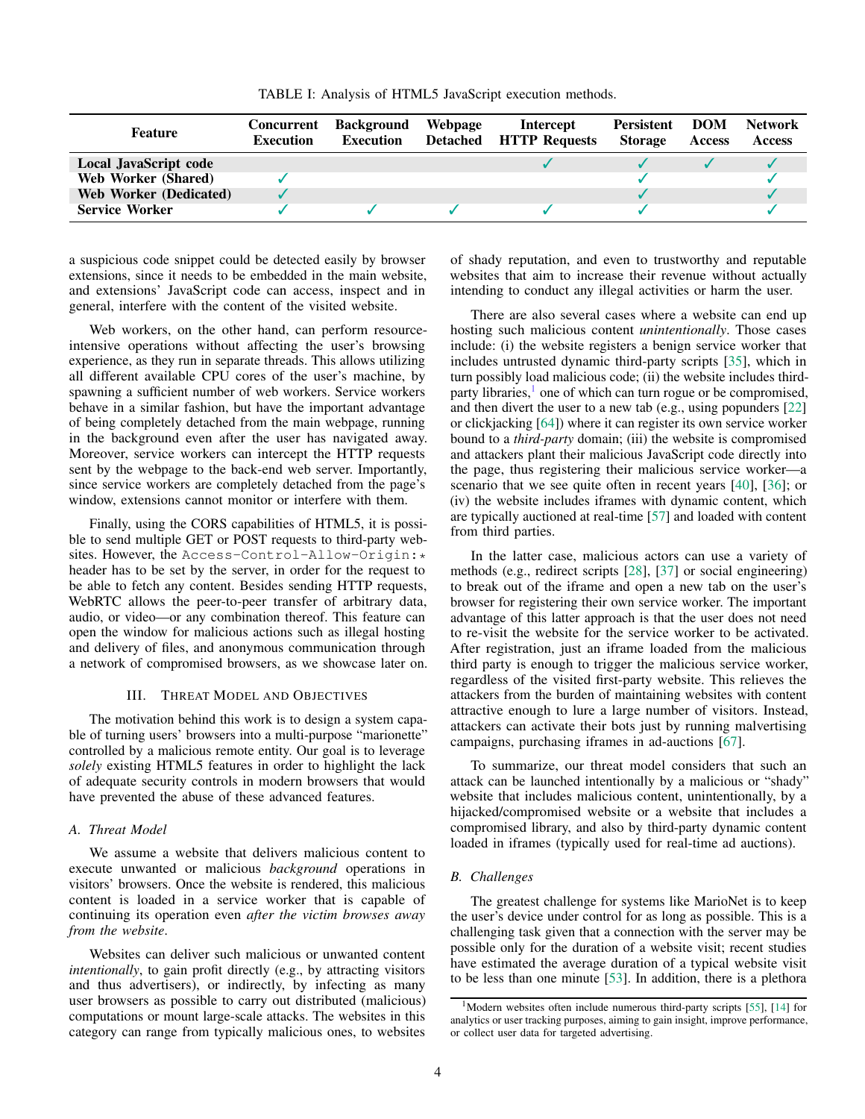TABLE I: Analysis of HTML5 JavaScript execution methods.

<span id="page-3-0"></span>

| <b>Feature</b>                | Concurrent<br><b>Execution</b> | <b>Background</b><br><b>Execution</b> | Webpage<br><b>Detached</b> | Intercept<br><b>HTTP Requests</b> | Persistent DOM<br><b>Storage</b> | <b>Access</b> | <b>Network</b><br><b>Access</b> |
|-------------------------------|--------------------------------|---------------------------------------|----------------------------|-----------------------------------|----------------------------------|---------------|---------------------------------|
| <b>Local JavaScript code</b>  |                                |                                       |                            |                                   |                                  |               |                                 |
| <b>Web Worker (Shared)</b>    |                                |                                       |                            |                                   |                                  |               |                                 |
| <b>Web Worker (Dedicated)</b> |                                |                                       |                            |                                   |                                  |               |                                 |
| <b>Service Worker</b>         |                                |                                       |                            |                                   |                                  |               |                                 |

a suspicious code snippet could be detected easily by browser extensions, since it needs to be embedded in the main website, and extensions' JavaScript code can access, inspect and in general, interfere with the content of the visited website.

Web workers, on the other hand, can perform resourceintensive operations without affecting the user's browsing experience, as they run in separate threads. This allows utilizing all different available CPU cores of the user's machine, by spawning a sufficient number of web workers. Service workers behave in a similar fashion, but have the important advantage of being completely detached from the main webpage, running in the background even after the user has navigated away. Moreover, service workers can intercept the HTTP requests sent by the webpage to the back-end web server. Importantly, since service workers are completely detached from the page's window, extensions cannot monitor or interfere with them.

Finally, using the CORS capabilities of HTML5, it is possible to send multiple GET or POST requests to third-party websites. However, the Access-Control-Allow-Origin: \* header has to be set by the server, in order for the request to be able to fetch any content. Besides sending HTTP requests, WebRTC allows the peer-to-peer transfer of arbitrary data, audio, or video—or any combination thereof. This feature can open the window for malicious actions such as illegal hosting and delivery of files, and anonymous communication through a network of compromised browsers, as we showcase later on.

#### III. THREAT MODEL AND OBJECTIVES

<span id="page-3-3"></span>The motivation behind this work is to design a system capable of turning users' browsers into a multi-purpose "marionette" controlled by a malicious remote entity. Our goal is to leverage *solely* existing HTML5 features in order to highlight the lack of adequate security controls in modern browsers that would have prevented the abuse of these advanced features.

# <span id="page-3-2"></span>*A. Threat Model*

We assume a website that delivers malicious content to execute unwanted or malicious *background* operations in visitors' browsers. Once the website is rendered, this malicious content is loaded in a service worker that is capable of continuing its operation even *after the victim browses away from the website*.

Websites can deliver such malicious or unwanted content *intentionally*, to gain profit directly (e.g., by attracting visitors and thus advertisers), or indirectly, by infecting as many user browsers as possible to carry out distributed (malicious) computations or mount large-scale attacks. The websites in this category can range from typically malicious ones, to websites of shady reputation, and even to trustworthy and reputable websites that aim to increase their revenue without actually intending to conduct any illegal activities or harm the user.

There are also several cases where a website can end up hosting such malicious content *unintentionally*. Those cases include: (i) the website registers a benign service worker that includes untrusted dynamic third-party scripts [\[35\]](#page-14-6), which in turn possibly load malicious code; (ii) the website includes thirdparty libraries, $\frac{1}{2}$  $\frac{1}{2}$  $\frac{1}{2}$  one of which can turn rogue or be compromised, and then divert the user to a new tab (e.g., using popunders [\[22\]](#page-13-4) or clickjacking [\[64\]](#page-14-7)) where it can register its own service worker bound to a *third-party* domain; (iii) the website is compromised and attackers plant their malicious JavaScript code directly into the page, thus registering their malicious service worker—a scenario that we see quite often in recent years [\[40\]](#page-14-8), [\[36\]](#page-14-9); or (iv) the website includes iframes with dynamic content, which are typically auctioned at real-time [\[57\]](#page-14-10) and loaded with content from third parties.

In the latter case, malicious actors can use a variety of methods (e.g., redirect scripts [\[28\]](#page-14-11), [\[37\]](#page-14-12) or social engineering) to break out of the iframe and open a new tab on the user's browser for registering their own service worker. The important advantage of this latter approach is that the user does not need to re-visit the website for the service worker to be activated. After registration, just an iframe loaded from the malicious third party is enough to trigger the malicious service worker, regardless of the visited first-party website. This relieves the attackers from the burden of maintaining websites with content attractive enough to lure a large number of visitors. Instead, attackers can activate their bots just by running malvertising campaigns, purchasing iframes in ad-auctions [\[67\]](#page-14-13).

To summarize, our threat model considers that such an attack can be launched intentionally by a malicious or "shady" website that includes malicious content, unintentionally, by a hijacked/compromised website or a website that includes a compromised library, and also by third-party dynamic content loaded in iframes (typically used for real-time ad auctions).

# *B. Challenges*

The greatest challenge for systems like MarioNet is to keep the user's device under control for as long as possible. This is a challenging task given that a connection with the server may be possible only for the duration of a website visit; recent studies have estimated the average duration of a typical website visit to be less than one minute [\[53\]](#page-14-1). In addition, there is a plethora

<span id="page-3-1"></span><sup>&</sup>lt;sup>1</sup>Modern websites often include numerous third-party scripts [\[55\]](#page-14-14), [\[14\]](#page-13-5) for analytics or user tracking purposes, aiming to gain insight, improve performance, or collect user data for targeted advertising.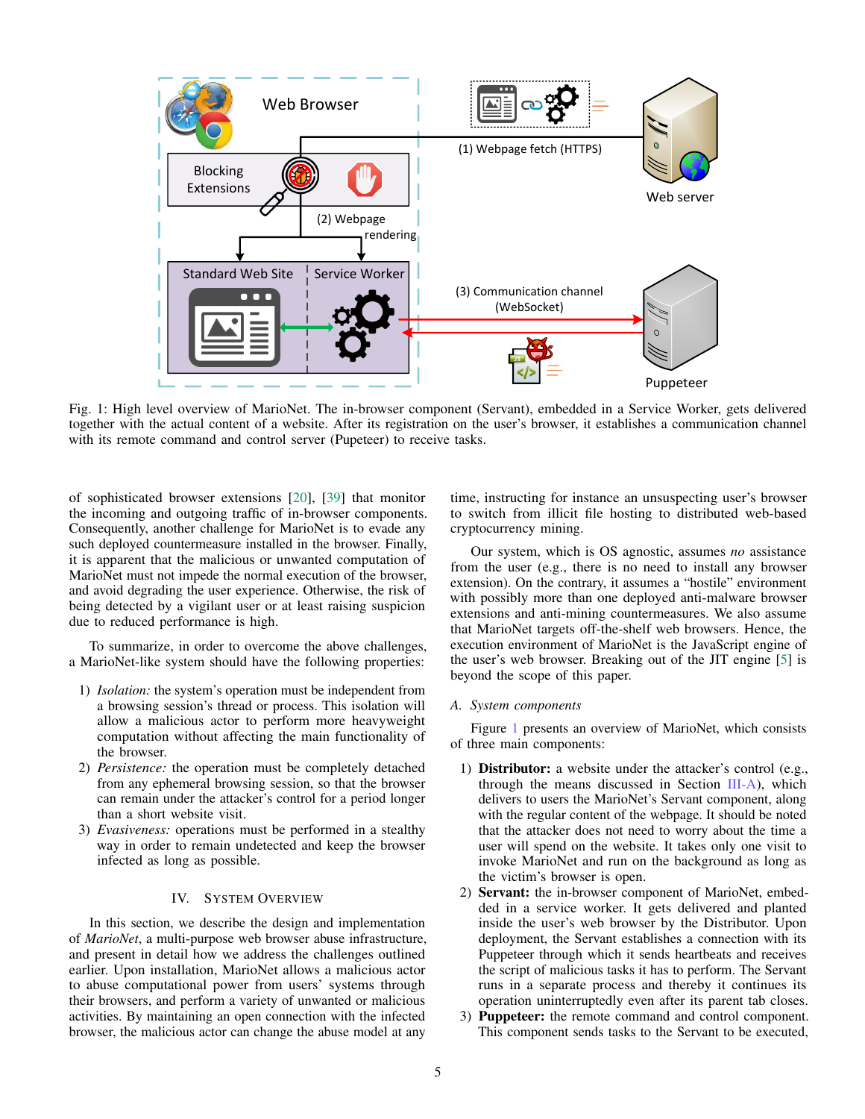<span id="page-4-0"></span>

Fig. 1: High level overview of MarioNet. The in-browser component (Servant), embedded in a Service Worker, gets delivered together with the actual content of a website. After its registration on the user's browser, it establishes a communication channel with its remote command and control server (Pupeteer) to receive tasks.

of sophisticated browser extensions [\[20\]](#page-13-6), [\[39\]](#page-14-15) that monitor the incoming and outgoing traffic of in-browser components. Consequently, another challenge for MarioNet is to evade any such deployed countermeasure installed in the browser. Finally, it is apparent that the malicious or unwanted computation of MarioNet must not impede the normal execution of the browser, and avoid degrading the user experience. Otherwise, the risk of being detected by a vigilant user or at least raising suspicion due to reduced performance is high.

To summarize, in order to overcome the above challenges, a MarioNet-like system should have the following properties:

- 1) *Isolation:* the system's operation must be independent from a browsing session's thread or process. This isolation will allow a malicious actor to perform more heavyweight computation without affecting the main functionality of the browser.
- 2) *Persistence:* the operation must be completely detached from any ephemeral browsing session, so that the browser can remain under the attacker's control for a period longer than a short website visit.
- 3) *Evasiveness:* operations must be performed in a stealthy way in order to remain undetected and keep the browser infected as long as possible.

#### IV. SYSTEM OVERVIEW

<span id="page-4-1"></span>In this section, we describe the design and implementation of *MarioNet*, a multi-purpose web browser abuse infrastructure, and present in detail how we address the challenges outlined earlier. Upon installation, MarioNet allows a malicious actor to abuse computational power from users' systems through their browsers, and perform a variety of unwanted or malicious activities. By maintaining an open connection with the infected browser, the malicious actor can change the abuse model at any time, instructing for instance an unsuspecting user's browser to switch from illicit file hosting to distributed web-based cryptocurrency mining.

Our system, which is OS agnostic, assumes *no* assistance from the user (e.g., there is no need to install any browser extension). On the contrary, it assumes a "hostile" environment with possibly more than one deployed anti-malware browser extensions and anti-mining countermeasures. We also assume that MarioNet targets off-the-shelf web browsers. Hence, the execution environment of MarioNet is the JavaScript engine of the user's web browser. Breaking out of the JIT engine [\[5\]](#page-13-7) is beyond the scope of this paper.

## *A. System components*

Figure [1](#page-4-0) presents an overview of MarioNet, which consists of three main components:

- 1) Distributor: a website under the attacker's control (e.g., through the means discussed in Section  $III-A$ ), which delivers to users the MarioNet's Servant component, along with the regular content of the webpage. It should be noted that the attacker does not need to worry about the time a user will spend on the website. It takes only one visit to invoke MarioNet and run on the background as long as the victim's browser is open.
- 2) Servant: the in-browser component of MarioNet, embedded in a service worker. It gets delivered and planted inside the user's web browser by the Distributor. Upon deployment, the Servant establishes a connection with its Puppeteer through which it sends heartbeats and receives the script of malicious tasks it has to perform. The Servant runs in a separate process and thereby it continues its operation uninterruptedly even after its parent tab closes.
- 3) Puppeteer: the remote command and control component. This component sends tasks to the Servant to be executed,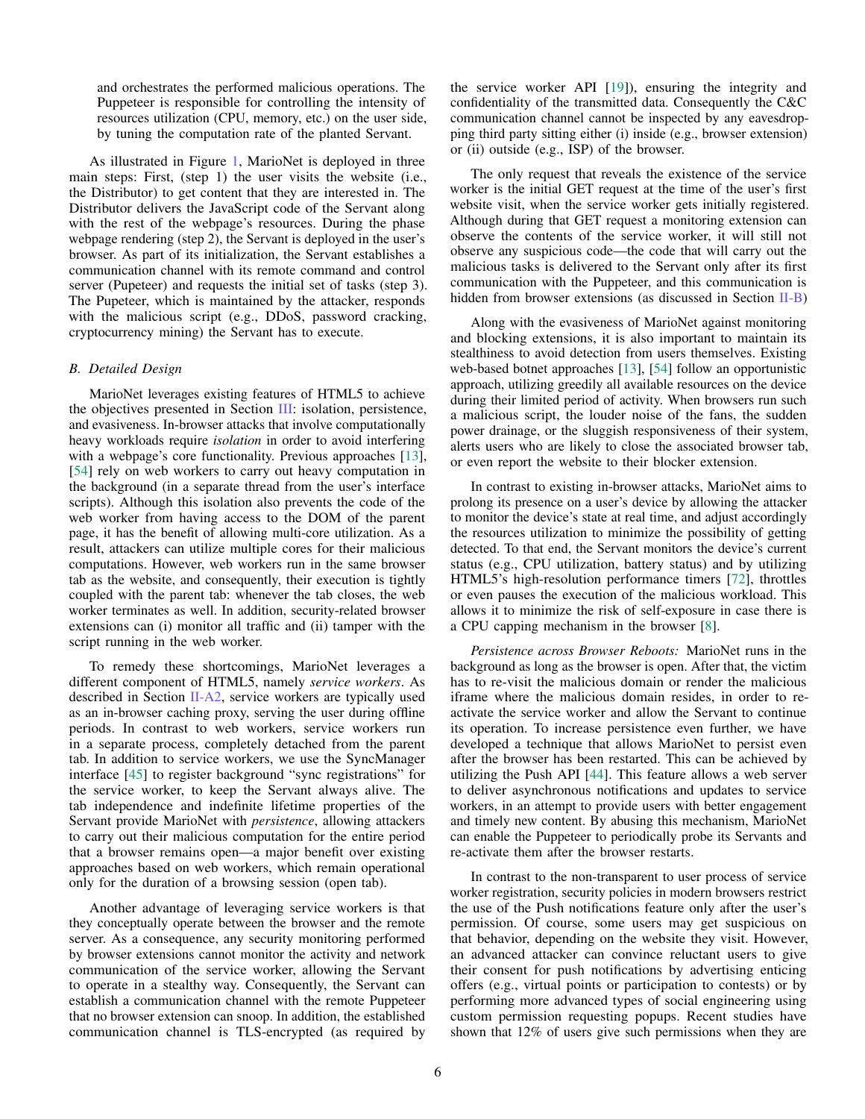and orchestrates the performed malicious operations. The Puppeteer is responsible for controlling the intensity of resources utilization (CPU, memory, etc.) on the user side, by tuning the computation rate of the planted Servant.

As illustrated in Figure [1,](#page-4-0) MarioNet is deployed in three main steps: First, (step 1) the user visits the website (i.e., the Distributor) to get content that they are interested in. The Distributor delivers the JavaScript code of the Servant along with the rest of the webpage's resources. During the phase webpage rendering (step 2), the Servant is deployed in the user's browser. As part of its initialization, the Servant establishes a communication channel with its remote command and control server (Pupeteer) and requests the initial set of tasks (step 3). The Pupeteer, which is maintained by the attacker, responds with the malicious script (e.g., DDoS, password cracking, cryptocurrency mining) the Servant has to execute.

## *B. Detailed Design*

MarioNet leverages existing features of HTML5 to achieve the objectives presented in Section  $III$ : isolation, persistence, and evasiveness. In-browser attacks that involve computationally heavy workloads require *isolation* in order to avoid interfering with a webpage's core functionality. Previous approaches [\[13\]](#page-13-8), [\[54\]](#page-14-16) rely on web workers to carry out heavy computation in the background (in a separate thread from the user's interface scripts). Although this isolation also prevents the code of the web worker from having access to the DOM of the parent page, it has the benefit of allowing multi-core utilization. As a result, attackers can utilize multiple cores for their malicious computations. However, web workers run in the same browser tab as the website, and consequently, their execution is tightly coupled with the parent tab: whenever the tab closes, the web worker terminates as well. In addition, security-related browser extensions can (i) monitor all traffic and (ii) tamper with the script running in the web worker.

To remedy these shortcomings, MarioNet leverages a different component of HTML5, namely *service workers*. As described in Section  $II-A2$ , service workers are typically used as an in-browser caching proxy, serving the user during offline periods. In contrast to web workers, service workers run in a separate process, completely detached from the parent tab. In addition to service workers, we use the SyncManager interface [\[45\]](#page-14-17) to register background "sync registrations" for the service worker, to keep the Servant always alive. The tab independence and indefinite lifetime properties of the Servant provide MarioNet with *persistence*, allowing attackers to carry out their malicious computation for the entire period that a browser remains open—a major benefit over existing approaches based on web workers, which remain operational only for the duration of a browsing session (open tab).

Another advantage of leveraging service workers is that they conceptually operate between the browser and the remote server. As a consequence, any security monitoring performed by browser extensions cannot monitor the activity and network communication of the service worker, allowing the Servant to operate in a stealthy way. Consequently, the Servant can establish a communication channel with the remote Puppeteer that no browser extension can snoop. In addition, the established communication channel is TLS-encrypted (as required by the service worker API [\[19\]](#page-13-9)), ensuring the integrity and confidentiality of the transmitted data. Consequently the C&C communication channel cannot be inspected by any eavesdropping third party sitting either (i) inside (e.g., browser extension) or (ii) outside (e.g., ISP) of the browser.

The only request that reveals the existence of the service worker is the initial GET request at the time of the user's first website visit, when the service worker gets initially registered. Although during that GET request a monitoring extension can observe the contents of the service worker, it will still not observe any suspicious code—the code that will carry out the malicious tasks is delivered to the Servant only after its first communication with the Puppeteer, and this communication is hidden from browser extensions (as discussed in Section [II-B\)](#page-2-0)

Along with the evasiveness of MarioNet against monitoring and blocking extensions, it is also important to maintain its stealthiness to avoid detection from users themselves. Existing web-based botnet approaches [\[13\]](#page-13-8), [\[54\]](#page-14-16) follow an opportunistic approach, utilizing greedily all available resources on the device during their limited period of activity. When browsers run such a malicious script, the louder noise of the fans, the sudden power drainage, or the sluggish responsiveness of their system, alerts users who are likely to close the associated browser tab, or even report the website to their blocker extension.

In contrast to existing in-browser attacks, MarioNet aims to prolong its presence on a user's device by allowing the attacker to monitor the device's state at real time, and adjust accordingly the resources utilization to minimize the possibility of getting detected. To that end, the Servant monitors the device's current status (e.g., CPU utilization, battery status) and by utilizing HTML5's high-resolution performance timers [\[72\]](#page-14-18), throttles or even pauses the execution of the malicious workload. This allows it to minimize the risk of self-exposure in case there is a CPU capping mechanism in the browser [\[8\]](#page-13-10).

*Persistence across Browser Reboots:* MarioNet runs in the background as long as the browser is open. After that, the victim has to re-visit the malicious domain or render the malicious iframe where the malicious domain resides, in order to reactivate the service worker and allow the Servant to continue its operation. To increase persistence even further, we have developed a technique that allows MarioNet to persist even after the browser has been restarted. This can be achieved by utilizing the Push API [\[44\]](#page-14-19). This feature allows a web server to deliver asynchronous notifications and updates to service workers, in an attempt to provide users with better engagement and timely new content. By abusing this mechanism, MarioNet can enable the Puppeteer to periodically probe its Servants and re-activate them after the browser restarts.

In contrast to the non-transparent to user process of service worker registration, security policies in modern browsers restrict the use of the Push notifications feature only after the user's permission. Of course, some users may get suspicious on that behavior, depending on the website they visit. However, an advanced attacker can convince reluctant users to give their consent for push notifications by advertising enticing offers (e.g., virtual points or participation to contests) or by performing more advanced types of social engineering using custom permission requesting popups. Recent studies have shown that 12% of users give such permissions when they are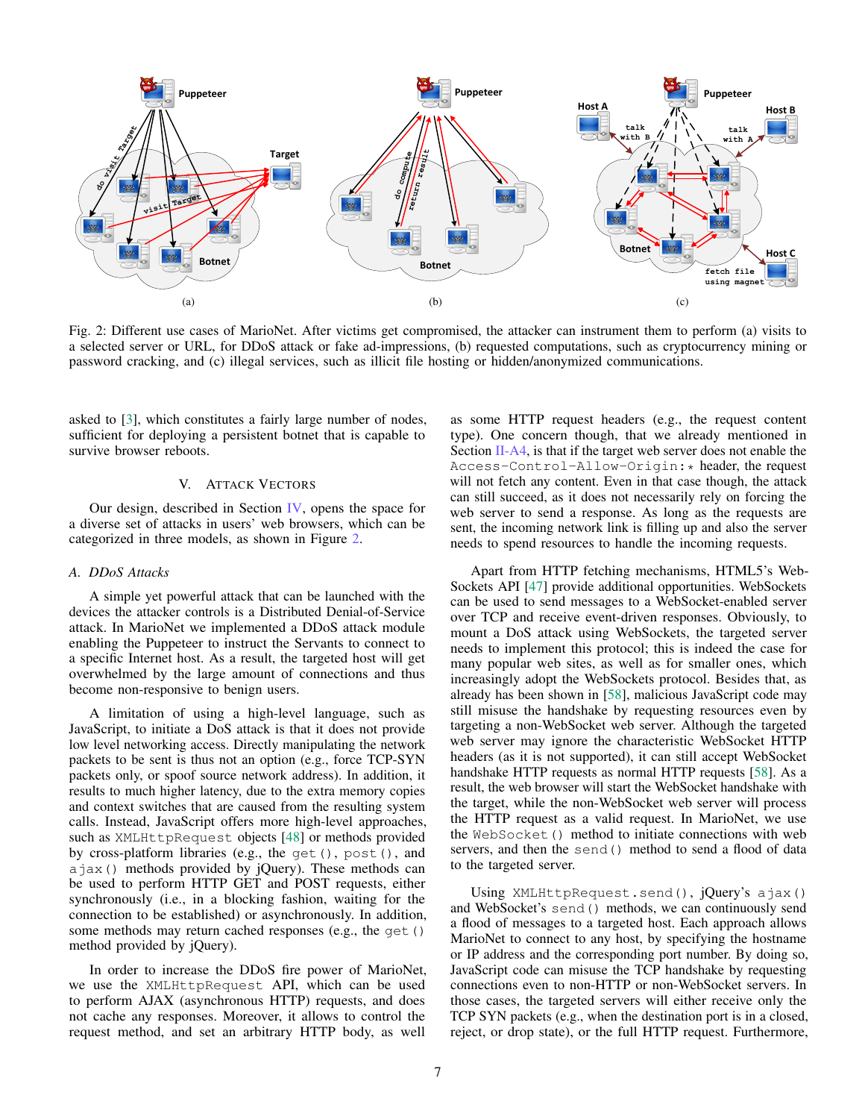<span id="page-6-0"></span>

Fig. 2: Different use cases of MarioNet. After victims get compromised, the attacker can instrument them to perform (a) visits to a selected server or URL, for DDoS attack or fake ad-impressions, (b) requested computations, such as cryptocurrency mining or password cracking, and (c) illegal services, such as illicit file hosting or hidden/anonymized communications.

asked to [\[3\]](#page-13-11), which constitutes a fairly large number of nodes, sufficient for deploying a persistent botnet that is capable to survive browser reboots.

# V. ATTACK VECTORS

Our design, described in Section  $\mathbf{IV}$ , opens the space for a diverse set of attacks in users' web browsers, which can be categorized in three models, as shown in Figure [2.](#page-6-0)

#### <span id="page-6-1"></span>*A. DDoS Attacks*

A simple yet powerful attack that can be launched with the devices the attacker controls is a Distributed Denial-of-Service attack. In MarioNet we implemented a DDoS attack module enabling the Puppeteer to instruct the Servants to connect to a specific Internet host. As a result, the targeted host will get overwhelmed by the large amount of connections and thus become non-responsive to benign users.

A limitation of using a high-level language, such as JavaScript, to initiate a DoS attack is that it does not provide low level networking access. Directly manipulating the network packets to be sent is thus not an option (e.g., force TCP-SYN packets only, or spoof source network address). In addition, it results to much higher latency, due to the extra memory copies and context switches that are caused from the resulting system calls. Instead, JavaScript offers more high-level approaches, such as XMLHttpRequest objects [\[48\]](#page-14-20) or methods provided by cross-platform libraries (e.g., the get(), post(), and  $a$ jax() methods provided by jQuery). These methods can be used to perform HTTP GET and POST requests, either synchronously (i.e., in a blocking fashion, waiting for the connection to be established) or asynchronously. In addition, some methods may return cached responses (e.g., the get() method provided by jQuery).

In order to increase the DDoS fire power of MarioNet, we use the XMLHttpRequest API, which can be used to perform AJAX (asynchronous HTTP) requests, and does not cache any responses. Moreover, it allows to control the request method, and set an arbitrary HTTP body, as well

as some HTTP request headers (e.g., the request content type). One concern though, that we already mentioned in Section [II-A4,](#page-2-1) is that if the target web server does not enable the Access-Control-Allow-Origin: \* header, the request will not fetch any content. Even in that case though, the attack can still succeed, as it does not necessarily rely on forcing the web server to send a response. As long as the requests are sent, the incoming network link is filling up and also the server needs to spend resources to handle the incoming requests.

Apart from HTTP fetching mechanisms, HTML5's Web-Sockets API [\[47\]](#page-14-21) provide additional opportunities. WebSockets can be used to send messages to a WebSocket-enabled server over TCP and receive event-driven responses. Obviously, to mount a DoS attack using WebSockets, the targeted server needs to implement this protocol; this is indeed the case for many popular web sites, as well as for smaller ones, which increasingly adopt the WebSockets protocol. Besides that, as already has been shown in [\[58\]](#page-14-22), malicious JavaScript code may still misuse the handshake by requesting resources even by targeting a non-WebSocket web server. Although the targeted web server may ignore the characteristic WebSocket HTTP headers (as it is not supported), it can still accept WebSocket handshake HTTP requests as normal HTTP requests [\[58\]](#page-14-22). As a result, the web browser will start the WebSocket handshake with the target, while the non-WebSocket web server will process the HTTP request as a valid request. In MarioNet, we use the WebSocket() method to initiate connections with web servers, and then the send() method to send a flood of data to the targeted server.

Using XMLHttpRequest.send(), jQuery's ajax() and WebSocket's send() methods, we can continuously send a flood of messages to a targeted host. Each approach allows MarioNet to connect to any host, by specifying the hostname or IP address and the corresponding port number. By doing so, JavaScript code can misuse the TCP handshake by requesting connections even to non-HTTP or non-WebSocket servers. In those cases, the targeted servers will either receive only the TCP SYN packets (e.g., when the destination port is in a closed, reject, or drop state), or the full HTTP request. Furthermore,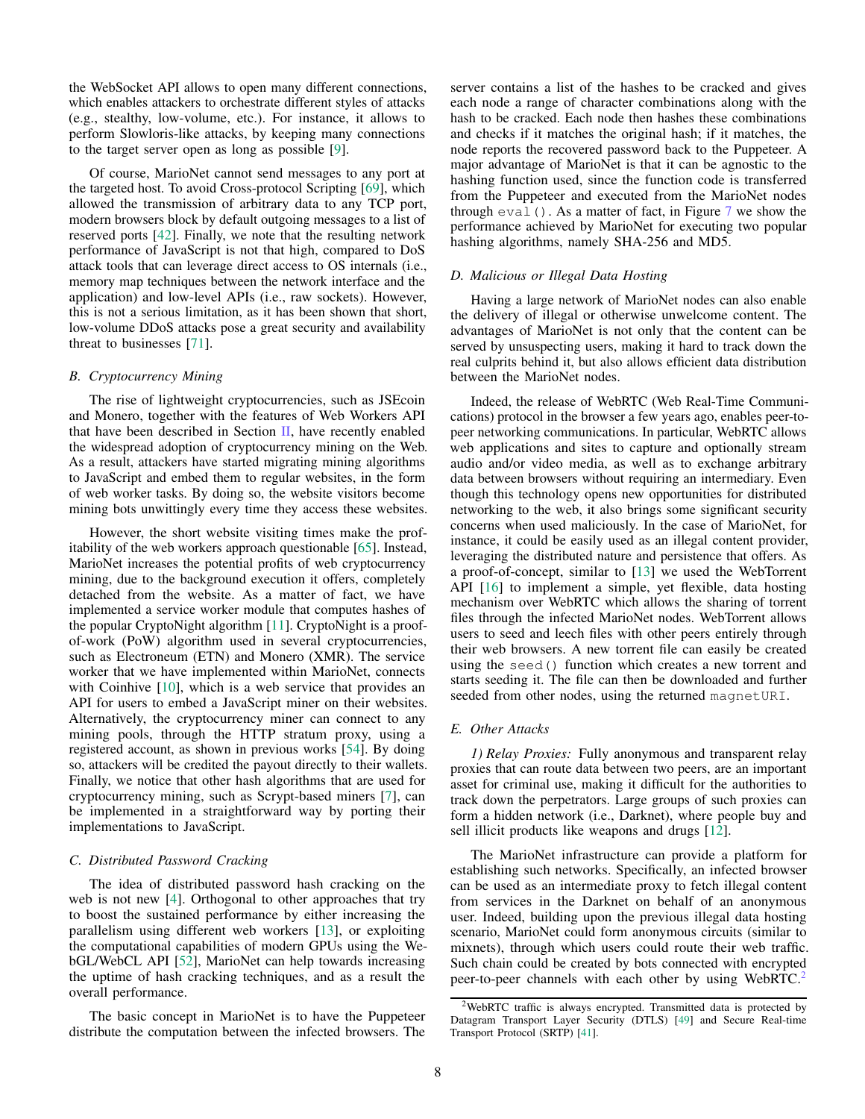the WebSocket API allows to open many different connections, which enables attackers to orchestrate different styles of attacks (e.g., stealthy, low-volume, etc.). For instance, it allows to perform Slowloris-like attacks, by keeping many connections to the target server open as long as possible [\[9\]](#page-13-12).

Of course, MarioNet cannot send messages to any port at the targeted host. To avoid Cross-protocol Scripting [\[69\]](#page-14-23), which allowed the transmission of arbitrary data to any TCP port, modern browsers block by default outgoing messages to a list of reserved ports [\[42\]](#page-14-24). Finally, we note that the resulting network performance of JavaScript is not that high, compared to DoS attack tools that can leverage direct access to OS internals (i.e., memory map techniques between the network interface and the application) and low-level APIs (i.e., raw sockets). However, this is not a serious limitation, as it has been shown that short, low-volume DDoS attacks pose a great security and availability threat to businesses [\[71\]](#page-14-25).

## *B. Cryptocurrency Mining*

The rise of lightweight cryptocurrencies, such as JSEcoin and Monero, together with the features of Web Workers API that have been described in Section  $II$ , have recently enabled the widespread adoption of cryptocurrency mining on the Web. As a result, attackers have started migrating mining algorithms to JavaScript and embed them to regular websites, in the form of web worker tasks. By doing so, the website visitors become mining bots unwittingly every time they access these websites.

However, the short website visiting times make the profitability of the web workers approach questionable [\[65\]](#page-14-26). Instead, MarioNet increases the potential profits of web cryptocurrency mining, due to the background execution it offers, completely detached from the website. As a matter of fact, we have implemented a service worker module that computes hashes of the popular CryptoNight algorithm [\[11\]](#page-13-13). CryptoNight is a proofof-work (PoW) algorithm used in several cryptocurrencies, such as Electroneum (ETN) and Monero (XMR). The service worker that we have implemented within MarioNet, connects with Coinhive [\[10\]](#page-13-14), which is a web service that provides an API for users to embed a JavaScript miner on their websites. Alternatively, the cryptocurrency miner can connect to any mining pools, through the HTTP stratum proxy, using a registered account, as shown in previous works [\[54\]](#page-14-16). By doing so, attackers will be credited the payout directly to their wallets. Finally, we notice that other hash algorithms that are used for cryptocurrency mining, such as Scrypt-based miners [\[7\]](#page-13-15), can be implemented in a straightforward way by porting their implementations to JavaScript.

# *C. Distributed Password Cracking*

The idea of distributed password hash cracking on the web is not new [\[4\]](#page-13-1). Orthogonal to other approaches that try to boost the sustained performance by either increasing the parallelism using different web workers [\[13\]](#page-13-8), or exploiting the computational capabilities of modern GPUs using the WebGL/WebCL API [\[52\]](#page-14-27), MarioNet can help towards increasing the uptime of hash cracking techniques, and as a result the overall performance.

The basic concept in MarioNet is to have the Puppeteer distribute the computation between the infected browsers. The server contains a list of the hashes to be cracked and gives each node a range of character combinations along with the hash to be cracked. Each node then hashes these combinations and checks if it matches the original hash; if it matches, the node reports the recovered password back to the Puppeteer. A major advantage of MarioNet is that it can be agnostic to the hashing function used, since the function code is transferred from the Puppeteer and executed from the MarioNet nodes through  $eval()$ . As a matter of fact, in Figure [7](#page-9-0) we show the performance achieved by MarioNet for executing two popular hashing algorithms, namely SHA-256 and MD5.

#### *D. Malicious or Illegal Data Hosting*

Having a large network of MarioNet nodes can also enable the delivery of illegal or otherwise unwelcome content. The advantages of MarioNet is not only that the content can be served by unsuspecting users, making it hard to track down the real culprits behind it, but also allows efficient data distribution between the MarioNet nodes.

Indeed, the release of WebRTC (Web Real-Time Communications) protocol in the browser a few years ago, enables peer-topeer networking communications. In particular, WebRTC allows web applications and sites to capture and optionally stream audio and/or video media, as well as to exchange arbitrary data between browsers without requiring an intermediary. Even though this technology opens new opportunities for distributed networking to the web, it also brings some significant security concerns when used maliciously. In the case of MarioNet, for instance, it could be easily used as an illegal content provider, leveraging the distributed nature and persistence that offers. As a proof-of-concept, similar to [\[13\]](#page-13-8) we used the WebTorrent API [\[16\]](#page-13-16) to implement a simple, yet flexible, data hosting mechanism over WebRTC which allows the sharing of torrent files through the infected MarioNet nodes. WebTorrent allows users to seed and leech files with other peers entirely through their web browsers. A new torrent file can easily be created using the seed() function which creates a new torrent and starts seeding it. The file can then be downloaded and further seeded from other nodes, using the returned magnetURI.

#### *E. Other Attacks*

*1) Relay Proxies:* Fully anonymous and transparent relay proxies that can route data between two peers, are an important asset for criminal use, making it difficult for the authorities to track down the perpetrators. Large groups of such proxies can form a hidden network (i.e., Darknet), where people buy and sell illicit products like weapons and drugs [\[12\]](#page-13-17).

The MarioNet infrastructure can provide a platform for establishing such networks. Specifically, an infected browser can be used as an intermediate proxy to fetch illegal content from services in the Darknet on behalf of an anonymous user. Indeed, building upon the previous illegal data hosting scenario, MarioNet could form anonymous circuits (similar to mixnets), through which users could route their web traffic. Such chain could be created by bots connected with encrypted peer-to-peer channels with each other by using WebRTC.<sup>[2](#page-7-0)</sup>

<span id="page-7-0"></span><sup>&</sup>lt;sup>2</sup>WebRTC traffic is always encrypted. Transmitted data is protected by Datagram Transport Layer Security (DTLS) [\[49\]](#page-14-28) and Secure Real-time Transport Protocol (SRTP) [\[41\]](#page-14-29).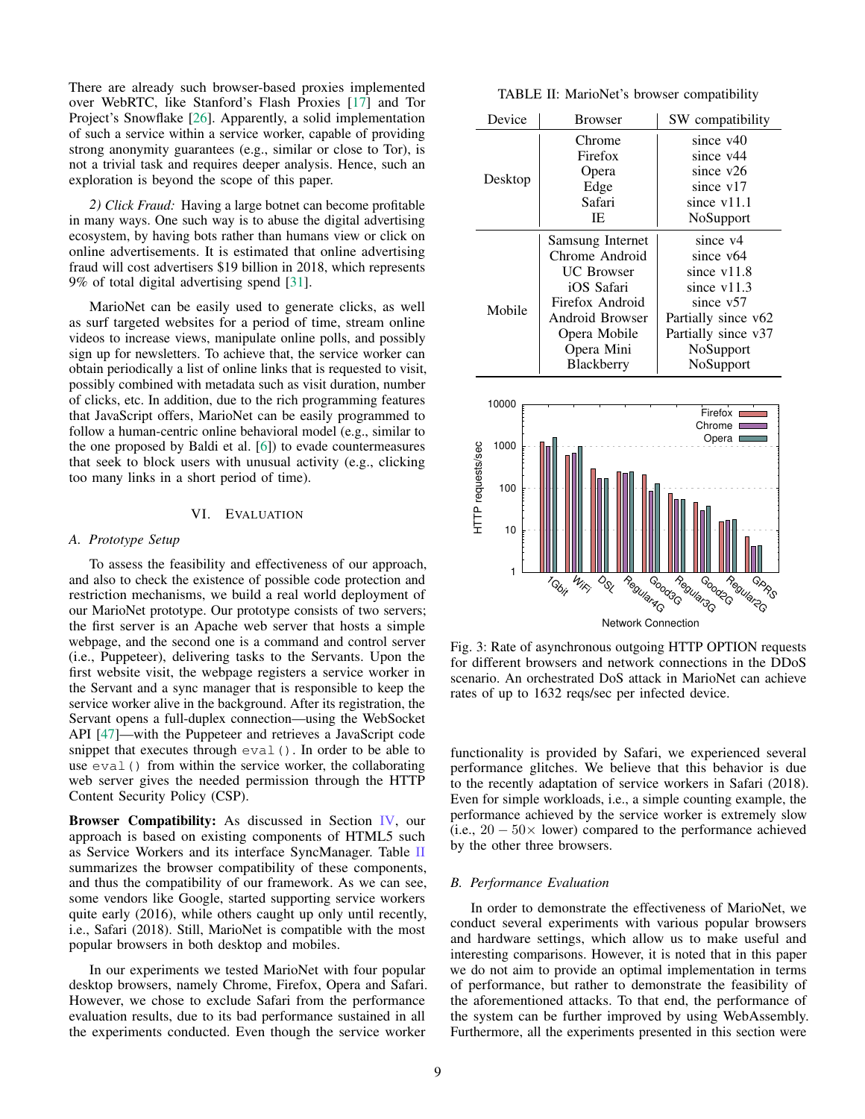There are already such browser-based proxies implemented over WebRTC, like Stanford's Flash Proxies [\[17\]](#page-13-18) and Tor Project's Snowflake [\[26\]](#page-14-30). Apparently, a solid implementation of such a service within a service worker, capable of providing strong anonymity guarantees (e.g., similar or close to Tor), is not a trivial task and requires deeper analysis. Hence, such an exploration is beyond the scope of this paper.

*2) Click Fraud:* Having a large botnet can become profitable in many ways. One such way is to abuse the digital advertising ecosystem, by having bots rather than humans view or click on online advertisements. It is estimated that online advertising fraud will cost advertisers \$19 billion in 2018, which represents 9% of total digital advertising spend [\[31\]](#page-14-31).

MarioNet can be easily used to generate clicks, as well as surf targeted websites for a period of time, stream online videos to increase views, manipulate online polls, and possibly sign up for newsletters. To achieve that, the service worker can obtain periodically a list of online links that is requested to visit, possibly combined with metadata such as visit duration, number of clicks, etc. In addition, due to the rich programming features that JavaScript offers, MarioNet can be easily programmed to follow a human-centric online behavioral model (e.g., similar to the one proposed by Baldi et al. [\[6\]](#page-13-19)) to evade countermeasures that seek to block users with unusual activity (e.g., clicking too many links in a short period of time).

# VI. EVALUATION

#### *A. Prototype Setup*

To assess the feasibility and effectiveness of our approach, and also to check the existence of possible code protection and restriction mechanisms, we build a real world deployment of our MarioNet prototype. Our prototype consists of two servers; the first server is an Apache web server that hosts a simple webpage, and the second one is a command and control server (i.e., Puppeteer), delivering tasks to the Servants. Upon the first website visit, the webpage registers a service worker in the Servant and a sync manager that is responsible to keep the service worker alive in the background. After its registration, the Servant opens a full-duplex connection—using the WebSocket API [\[47\]](#page-14-21)—with the Puppeteer and retrieves a JavaScript code snippet that executes through  $eval()$ . In order to be able to use  $eval()$  from within the service worker, the collaborating web server gives the needed permission through the HTTP Content Security Policy (CSP).

Browser Compatibility: As discussed in Section [IV,](#page-4-1) our approach is based on existing components of HTML5 such as Service Workers and its interface SyncManager. Table [II](#page-8-0) summarizes the browser compatibility of these components, and thus the compatibility of our framework. As we can see, some vendors like Google, started supporting service workers quite early (2016), while others caught up only until recently, i.e., Safari (2018). Still, MarioNet is compatible with the most popular browsers in both desktop and mobiles.

In our experiments we tested MarioNet with four popular desktop browsers, namely Chrome, Firefox, Opera and Safari. However, we chose to exclude Safari from the performance evaluation results, due to its bad performance sustained in all the experiments conducted. Even though the service worker

TABLE II: MarioNet's browser compatibility

<span id="page-8-0"></span>

| Device      | <b>Browser</b>    | SW compatibility    |  |  |  |  |
|-------------|-------------------|---------------------|--|--|--|--|
|             | Chrome            | since v40           |  |  |  |  |
| Desktop     | Firefox           | since v44           |  |  |  |  |
|             | Opera             | since $v26$         |  |  |  |  |
|             | Edge              | since v17           |  |  |  |  |
|             | Safari            | since v11.1         |  |  |  |  |
|             | IE                | NoSupport           |  |  |  |  |
|             | Samsung Internet  | since $v4$          |  |  |  |  |
| Mobile      | Chrome Android    | since v64           |  |  |  |  |
|             | <b>UC</b> Browser | since v11.8         |  |  |  |  |
|             | iOS Safari        | since $v11.3$       |  |  |  |  |
|             | Firefox Android   | since v57           |  |  |  |  |
|             | Android Browser   | Partially since v62 |  |  |  |  |
|             | Opera Mobile      | Partially since v37 |  |  |  |  |
|             | Opera Mini        | NoSupport           |  |  |  |  |
|             | Blackberry        | NoSupport           |  |  |  |  |
|             |                   |                     |  |  |  |  |
| 10000       |                   | Firefox I           |  |  |  |  |
|             | Chrome 1          |                     |  |  |  |  |
|             | Opera             |                     |  |  |  |  |
| 1000<br>9es |                   |                     |  |  |  |  |

<span id="page-8-1"></span>

Fig. 3: Rate of asynchronous outgoing HTTP OPTION requests for different browsers and network connections in the DDoS scenario. An orchestrated DoS attack in MarioNet can achieve rates of up to 1632 reqs/sec per infected device.

functionality is provided by Safari, we experienced several performance glitches. We believe that this behavior is due to the recently adaptation of service workers in Safari (2018). Even for simple workloads, i.e., a simple counting example, the performance achieved by the service worker is extremely slow (i.e.,  $20 - 50 \times$  lower) compared to the performance achieved by the other three browsers.

## *B. Performance Evaluation*

In order to demonstrate the effectiveness of MarioNet, we conduct several experiments with various popular browsers and hardware settings, which allow us to make useful and interesting comparisons. However, it is noted that in this paper we do not aim to provide an optimal implementation in terms of performance, but rather to demonstrate the feasibility of the aforementioned attacks. To that end, the performance of the system can be further improved by using WebAssembly. Furthermore, all the experiments presented in this section were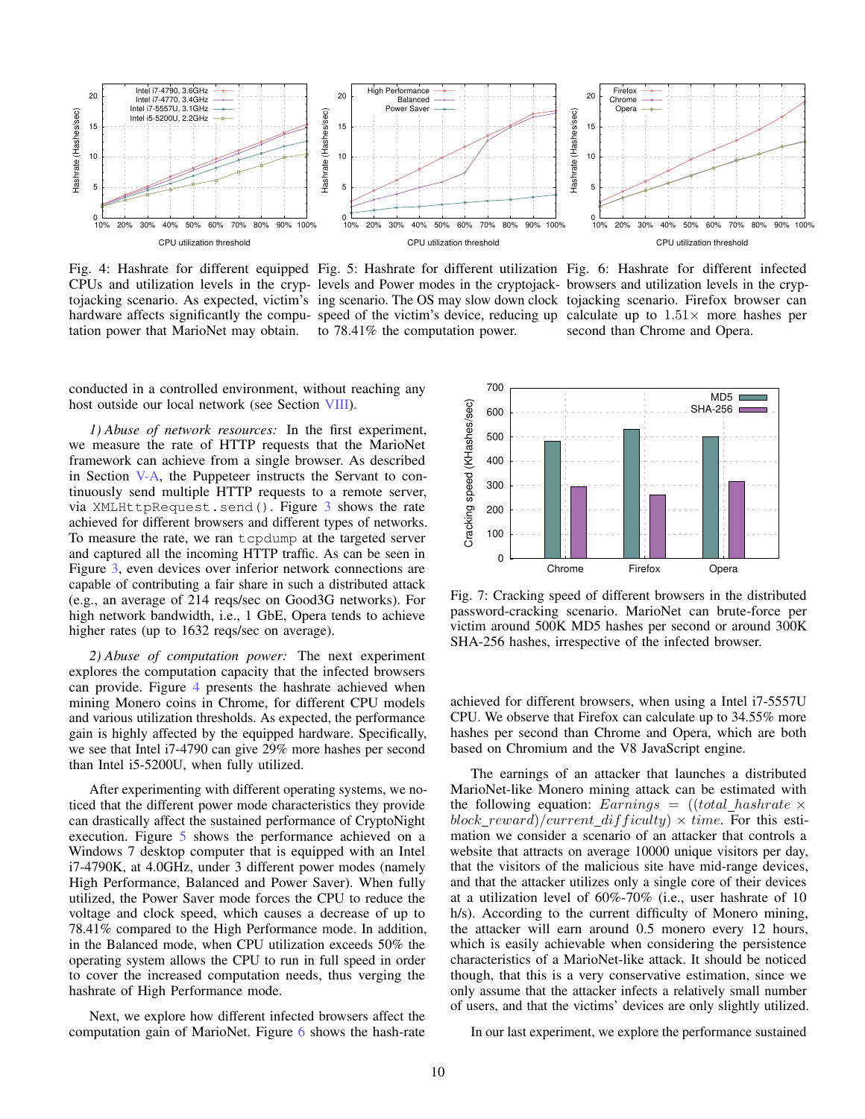<span id="page-9-1"></span>

tation power that MarioNet may obtain. to 78.41% the computation power.





tojacking scenario. As expected, victim's ing scenario. The OS may slow down clock tojacking scenario. Firefox browser can hardware affects significantly the compu- speed of the victim's device, reducing up calculate up to  $1.51\times$  more hashes per

second than Chrome and Opera.

conducted in a controlled environment, without reaching any host outside our local network (see Section [VIII\)](#page-11-0).

*1) Abuse of network resources:* In the first experiment, we measure the rate of HTTP requests that the MarioNet framework can achieve from a single browser. As described in Section [V-A,](#page-6-1) the Puppeteer instructs the Servant to continuously send multiple HTTP requests to a remote server, via XMLHttpRequest.send(). Figure [3](#page-8-1) shows the rate achieved for different browsers and different types of networks. To measure the rate, we ran tcpdump at the targeted server and captured all the incoming HTTP traffic. As can be seen in Figure [3,](#page-8-1) even devices over inferior network connections are capable of contributing a fair share in such a distributed attack (e.g., an average of 214 reqs/sec on Good3G networks). For high network bandwidth, i.e., 1 GbE, Opera tends to achieve higher rates (up to 1632 reqs/sec on average).

*2) Abuse of computation power:* The next experiment explores the computation capacity that the infected browsers can provide. Figure [4](#page-9-1) presents the hashrate achieved when mining Monero coins in Chrome, for different CPU models and various utilization thresholds. As expected, the performance gain is highly affected by the equipped hardware. Specifically, we see that Intel i7-4790 can give 29% more hashes per second than Intel i5-5200U, when fully utilized.

After experimenting with different operating systems, we noticed that the different power mode characteristics they provide can drastically affect the sustained performance of CryptoNight execution. Figure [5](#page-9-1) shows the performance achieved on a Windows 7 desktop computer that is equipped with an Intel i7-4790K, at 4.0GHz, under 3 different power modes (namely High Performance, Balanced and Power Saver). When fully utilized, the Power Saver mode forces the CPU to reduce the voltage and clock speed, which causes a decrease of up to 78.41% compared to the High Performance mode. In addition, in the Balanced mode, when CPU utilization exceeds 50% the operating system allows the CPU to run in full speed in order to cover the increased computation needs, thus verging the hashrate of High Performance mode.

Next, we explore how different infected browsers affect the computation gain of MarioNet. Figure [6](#page-9-1) shows the hash-rate

<span id="page-9-0"></span>

Fig. 7: Cracking speed of different browsers in the distributed password-cracking scenario. MarioNet can brute-force per victim around 500K MD5 hashes per second or around 300K SHA-256 hashes, irrespective of the infected browser.

achieved for different browsers, when using a Intel i7-5557U CPU. We observe that Firefox can calculate up to 34.55% more hashes per second than Chrome and Opera, which are both based on Chromium and the V8 JavaScript engine.

The earnings of an attacker that launches a distributed MarioNet-like Monero mining attack can be estimated with the following equation:  $\textit{Earnings}$  = ((total hashrate  $\times$ block\_reward)/current\_difficulty)  $\times$  time. For this estimation we consider a scenario of an attacker that controls a website that attracts on average 10000 unique visitors per day, that the visitors of the malicious site have mid-range devices, and that the attacker utilizes only a single core of their devices at a utilization level of 60%-70% (i.e., user hashrate of 10 h/s). According to the current difficulty of Monero mining, the attacker will earn around 0.5 monero every 12 hours, which is easily achievable when considering the persistence characteristics of a MarioNet-like attack. It should be noticed though, that this is a very conservative estimation, since we only assume that the attacker infects a relatively small number of users, and that the victims' devices are only slightly utilized.

In our last experiment, we explore the performance sustained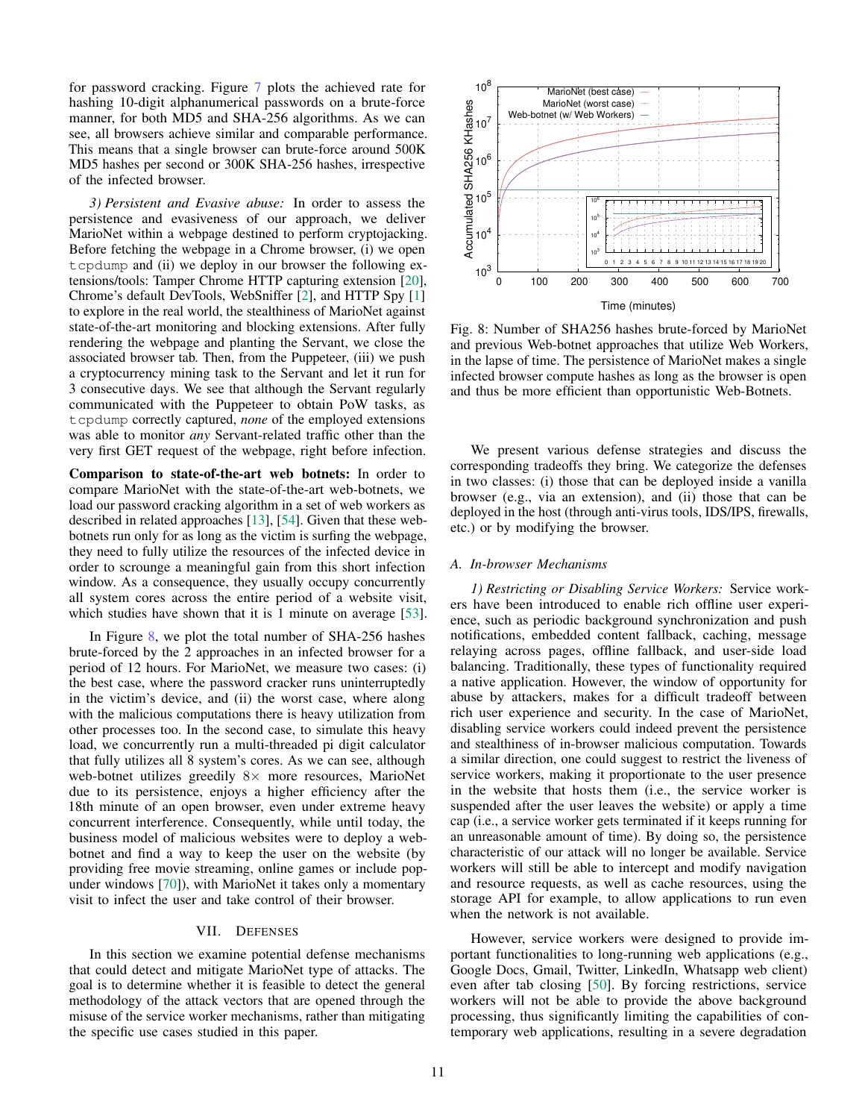for password cracking. Figure [7](#page-9-0) plots the achieved rate for hashing 10-digit alphanumerical passwords on a brute-force manner, for both MD5 and SHA-256 algorithms. As we can see, all browsers achieve similar and comparable performance. This means that a single browser can brute-force around 500K MD5 hashes per second or 300K SHA-256 hashes, irrespective of the infected browser.

*3) Persistent and Evasive abuse:* In order to assess the persistence and evasiveness of our approach, we deliver MarioNet within a webpage destined to perform cryptojacking. Before fetching the webpage in a Chrome browser, (i) we open tcpdump and (ii) we deploy in our browser the following extensions/tools: Tamper Chrome HTTP capturing extension [\[20\]](#page-13-6), Chrome's default DevTools, WebSniffer [\[2\]](#page-13-20), and HTTP Spy [\[1\]](#page-13-21) to explore in the real world, the stealthiness of MarioNet against state-of-the-art monitoring and blocking extensions. After fully rendering the webpage and planting the Servant, we close the associated browser tab. Then, from the Puppeteer, (iii) we push a cryptocurrency mining task to the Servant and let it run for 3 consecutive days. We see that although the Servant regularly communicated with the Puppeteer to obtain PoW tasks, as tcpdump correctly captured, *none* of the employed extensions was able to monitor *any* Servant-related traffic other than the very first GET request of the webpage, right before infection.

Comparison to state-of-the-art web botnets: In order to compare MarioNet with the state-of-the-art web-botnets, we load our password cracking algorithm in a set of web workers as described in related approaches [\[13\]](#page-13-8), [\[54\]](#page-14-16). Given that these webbotnets run only for as long as the victim is surfing the webpage, they need to fully utilize the resources of the infected device in order to scrounge a meaningful gain from this short infection window. As a consequence, they usually occupy concurrently all system cores across the entire period of a website visit, which studies have shown that it is 1 minute on average [\[53\]](#page-14-1).

In Figure [8,](#page-10-0) we plot the total number of SHA-256 hashes brute-forced by the 2 approaches in an infected browser for a period of 12 hours. For MarioNet, we measure two cases: (i) the best case, where the password cracker runs uninterruptedly in the victim's device, and (ii) the worst case, where along with the malicious computations there is heavy utilization from other processes too. In the second case, to simulate this heavy load, we concurrently run a multi-threaded pi digit calculator that fully utilizes all 8 system's cores. As we can see, although web-botnet utilizes greedily 8× more resources, MarioNet due to its persistence, enjoys a higher efficiency after the 18th minute of an open browser, even under extreme heavy concurrent interference. Consequently, while until today, the business model of malicious websites were to deploy a webbotnet and find a way to keep the user on the website (by providing free movie streaming, online games or include popunder windows [\[70\]](#page-14-32)), with MarioNet it takes only a momentary visit to infect the user and take control of their browser.

## VII. DEFENSES

In this section we examine potential defense mechanisms that could detect and mitigate MarioNet type of attacks. The goal is to determine whether it is feasible to detect the general methodology of the attack vectors that are opened through the misuse of the service worker mechanisms, rather than mitigating the specific use cases studied in this paper.

<span id="page-10-0"></span>

Fig. 8: Number of SHA256 hashes brute-forced by MarioNet and previous Web-botnet approaches that utilize Web Workers, in the lapse of time. The persistence of MarioNet makes a single infected browser compute hashes as long as the browser is open and thus be more efficient than opportunistic Web-Botnets.

We present various defense strategies and discuss the corresponding tradeoffs they bring. We categorize the defenses in two classes: (i) those that can be deployed inside a vanilla browser (e.g., via an extension), and (ii) those that can be deployed in the host (through anti-virus tools, IDS/IPS, firewalls, etc.) or by modifying the browser.

#### *A. In-browser Mechanisms*

*1) Restricting or Disabling Service Workers:* Service workers have been introduced to enable rich offline user experience, such as periodic background synchronization and push notifications, embedded content fallback, caching, message relaying across pages, offline fallback, and user-side load balancing. Traditionally, these types of functionality required a native application. However, the window of opportunity for abuse by attackers, makes for a difficult tradeoff between rich user experience and security. In the case of MarioNet, disabling service workers could indeed prevent the persistence and stealthiness of in-browser malicious computation. Towards a similar direction, one could suggest to restrict the liveness of service workers, making it proportionate to the user presence in the website that hosts them (i.e., the service worker is suspended after the user leaves the website) or apply a time cap (i.e., a service worker gets terminated if it keeps running for an unreasonable amount of time). By doing so, the persistence characteristic of our attack will no longer be available. Service workers will still be able to intercept and modify navigation and resource requests, as well as cache resources, using the storage API for example, to allow applications to run even when the network is not available.

However, service workers were designed to provide important functionalities to long-running web applications (e.g., Google Docs, Gmail, Twitter, LinkedIn, Whatsapp web client) even after tab closing [\[50\]](#page-14-33). By forcing restrictions, service workers will not be able to provide the above background processing, thus significantly limiting the capabilities of contemporary web applications, resulting in a severe degradation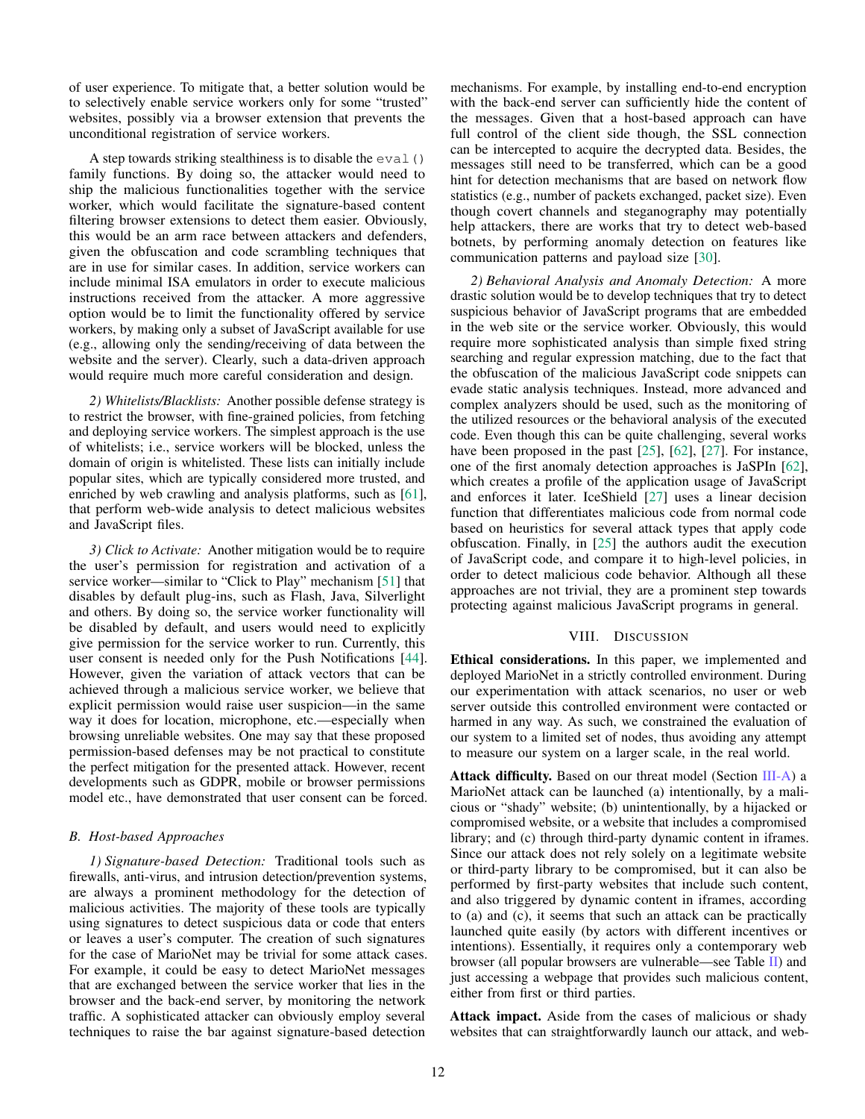of user experience. To mitigate that, a better solution would be to selectively enable service workers only for some "trusted" websites, possibly via a browser extension that prevents the unconditional registration of service workers.

A step towards striking stealthiness is to disable the  $eval()$ family functions. By doing so, the attacker would need to ship the malicious functionalities together with the service worker, which would facilitate the signature-based content filtering browser extensions to detect them easier. Obviously, this would be an arm race between attackers and defenders, given the obfuscation and code scrambling techniques that are in use for similar cases. In addition, service workers can include minimal ISA emulators in order to execute malicious instructions received from the attacker. A more aggressive option would be to limit the functionality offered by service workers, by making only a subset of JavaScript available for use (e.g., allowing only the sending/receiving of data between the website and the server). Clearly, such a data-driven approach would require much more careful consideration and design.

*2) Whitelists/Blacklists:* Another possible defense strategy is to restrict the browser, with fine-grained policies, from fetching and deploying service workers. The simplest approach is the use of whitelists; i.e., service workers will be blocked, unless the domain of origin is whitelisted. These lists can initially include popular sites, which are typically considered more trusted, and enriched by web crawling and analysis platforms, such as [\[61\]](#page-14-34), that perform web-wide analysis to detect malicious websites and JavaScript files.

*3) Click to Activate:* Another mitigation would be to require the user's permission for registration and activation of a service worker—similar to "Click to Play" mechanism [\[51\]](#page-14-35) that disables by default plug-ins, such as Flash, Java, Silverlight and others. By doing so, the service worker functionality will be disabled by default, and users would need to explicitly give permission for the service worker to run. Currently, this user consent is needed only for the Push Notifications [\[44\]](#page-14-19). However, given the variation of attack vectors that can be achieved through a malicious service worker, we believe that explicit permission would raise user suspicion—in the same way it does for location, microphone, etc.—especially when browsing unreliable websites. One may say that these proposed permission-based defenses may be not practical to constitute the perfect mitigation for the presented attack. However, recent developments such as GDPR, mobile or browser permissions model etc., have demonstrated that user consent can be forced.

## *B. Host-based Approaches*

*1) Signature-based Detection:* Traditional tools such as firewalls, anti-virus, and intrusion detection/prevention systems, are always a prominent methodology for the detection of malicious activities. The majority of these tools are typically using signatures to detect suspicious data or code that enters or leaves a user's computer. The creation of such signatures for the case of MarioNet may be trivial for some attack cases. For example, it could be easy to detect MarioNet messages that are exchanged between the service worker that lies in the browser and the back-end server, by monitoring the network traffic. A sophisticated attacker can obviously employ several techniques to raise the bar against signature-based detection

mechanisms. For example, by installing end-to-end encryption with the back-end server can sufficiently hide the content of the messages. Given that a host-based approach can have full control of the client side though, the SSL connection can be intercepted to acquire the decrypted data. Besides, the messages still need to be transferred, which can be a good hint for detection mechanisms that are based on network flow statistics (e.g., number of packets exchanged, packet size). Even though covert channels and steganography may potentially help attackers, there are works that try to detect web-based botnets, by performing anomaly detection on features like communication patterns and payload size [\[30\]](#page-14-36).

*2) Behavioral Analysis and Anomaly Detection:* A more drastic solution would be to develop techniques that try to detect suspicious behavior of JavaScript programs that are embedded in the web site or the service worker. Obviously, this would require more sophisticated analysis than simple fixed string searching and regular expression matching, due to the fact that the obfuscation of the malicious JavaScript code snippets can evade static analysis techniques. Instead, more advanced and complex analyzers should be used, such as the monitoring of the utilized resources or the behavioral analysis of the executed code. Even though this can be quite challenging, several works have been proposed in the past [\[25\]](#page-14-37), [\[62\]](#page-14-38), [\[27\]](#page-14-39). For instance, one of the first anomaly detection approaches is JaSPIn [\[62\]](#page-14-38), which creates a profile of the application usage of JavaScript and enforces it later. IceShield [\[27\]](#page-14-39) uses a linear decision function that differentiates malicious code from normal code based on heuristics for several attack types that apply code obfuscation. Finally, in [\[25\]](#page-14-37) the authors audit the execution of JavaScript code, and compare it to high-level policies, in order to detect malicious code behavior. Although all these approaches are not trivial, they are a prominent step towards protecting against malicious JavaScript programs in general.

## VIII. DISCUSSION

<span id="page-11-0"></span>Ethical considerations. In this paper, we implemented and deployed MarioNet in a strictly controlled environment. During our experimentation with attack scenarios, no user or web server outside this controlled environment were contacted or harmed in any way. As such, we constrained the evaluation of our system to a limited set of nodes, thus avoiding any attempt to measure our system on a larger scale, in the real world.

Attack difficulty. Based on our threat model (Section [III-A\)](#page-3-2) a MarioNet attack can be launched (a) intentionally, by a malicious or "shady" website; (b) unintentionally, by a hijacked or compromised website, or a website that includes a compromised library; and (c) through third-party dynamic content in iframes. Since our attack does not rely solely on a legitimate website or third-party library to be compromised, but it can also be performed by first-party websites that include such content, and also triggered by dynamic content in iframes, according to (a) and (c), it seems that such an attack can be practically launched quite easily (by actors with different incentives or intentions). Essentially, it requires only a contemporary web browser (all popular browsers are vulnerable—see Table [II\)](#page-8-0) and just accessing a webpage that provides such malicious content, either from first or third parties.

Attack impact. Aside from the cases of malicious or shady websites that can straightforwardly launch our attack, and web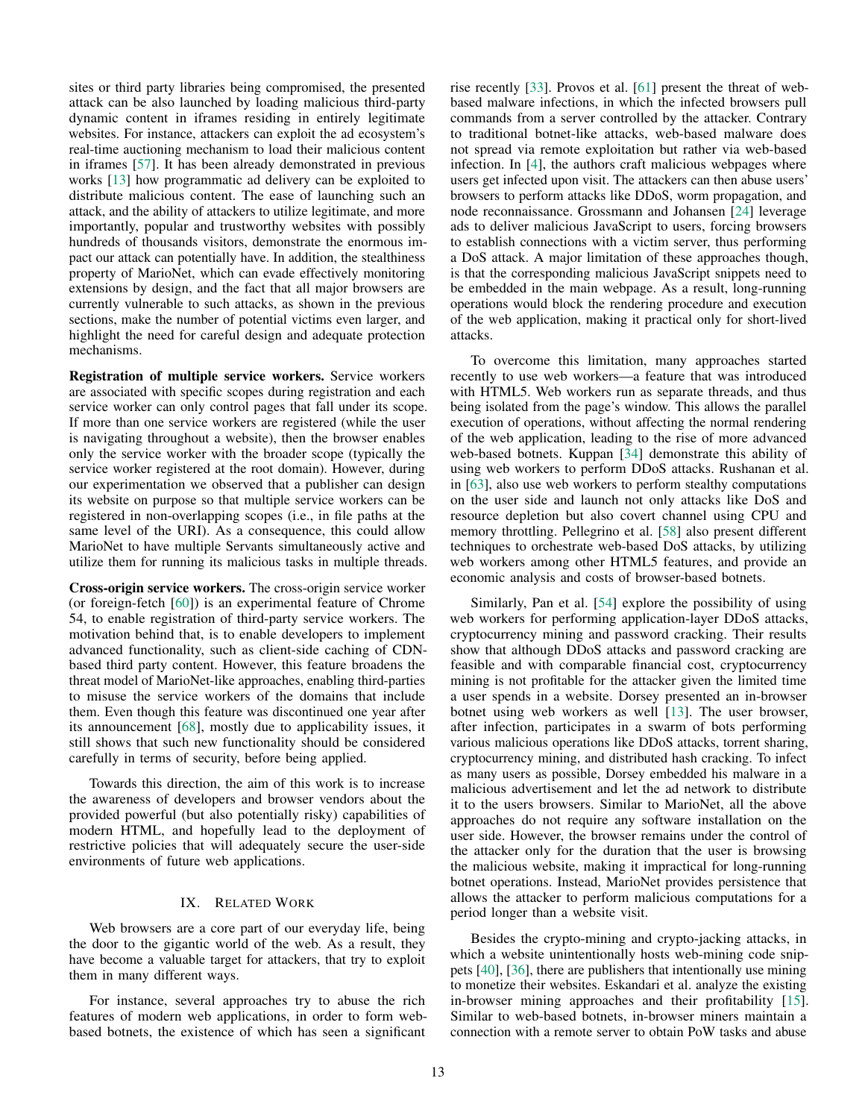sites or third party libraries being compromised, the presented attack can be also launched by loading malicious third-party dynamic content in iframes residing in entirely legitimate websites. For instance, attackers can exploit the ad ecosystem's real-time auctioning mechanism to load their malicious content in iframes [\[57\]](#page-14-10). It has been already demonstrated in previous works [\[13\]](#page-13-8) how programmatic ad delivery can be exploited to distribute malicious content. The ease of launching such an attack, and the ability of attackers to utilize legitimate, and more importantly, popular and trustworthy websites with possibly hundreds of thousands visitors, demonstrate the enormous impact our attack can potentially have. In addition, the stealthiness property of MarioNet, which can evade effectively monitoring extensions by design, and the fact that all major browsers are currently vulnerable to such attacks, as shown in the previous sections, make the number of potential victims even larger, and highlight the need for careful design and adequate protection mechanisms.

Registration of multiple service workers. Service workers are associated with specific scopes during registration and each service worker can only control pages that fall under its scope. If more than one service workers are registered (while the user is navigating throughout a website), then the browser enables only the service worker with the broader scope (typically the service worker registered at the root domain). However, during our experimentation we observed that a publisher can design its website on purpose so that multiple service workers can be registered in non-overlapping scopes (i.e., in file paths at the same level of the URI). As a consequence, this could allow MarioNet to have multiple Servants simultaneously active and utilize them for running its malicious tasks in multiple threads.

Cross-origin service workers. The cross-origin service worker (or foreign-fetch [\[60\]](#page-14-40)) is an experimental feature of Chrome 54, to enable registration of third-party service workers. The motivation behind that, is to enable developers to implement advanced functionality, such as client-side caching of CDNbased third party content. However, this feature broadens the threat model of MarioNet-like approaches, enabling third-parties to misuse the service workers of the domains that include them. Even though this feature was discontinued one year after its announcement [\[68\]](#page-14-41), mostly due to applicability issues, it still shows that such new functionality should be considered carefully in terms of security, before being applied.

Towards this direction, the aim of this work is to increase the awareness of developers and browser vendors about the provided powerful (but also potentially risky) capabilities of modern HTML, and hopefully lead to the deployment of restrictive policies that will adequately secure the user-side environments of future web applications.

# IX. RELATED WORK

Web browsers are a core part of our everyday life, being the door to the gigantic world of the web. As a result, they have become a valuable target for attackers, that try to exploit them in many different ways.

For instance, several approaches try to abuse the rich features of modern web applications, in order to form webbased botnets, the existence of which has seen a significant

rise recently [\[33\]](#page-14-42). Provos et al. [\[61\]](#page-14-34) present the threat of webbased malware infections, in which the infected browsers pull commands from a server controlled by the attacker. Contrary to traditional botnet-like attacks, web-based malware does not spread via remote exploitation but rather via web-based infection. In [\[4\]](#page-13-1), the authors craft malicious webpages where users get infected upon visit. The attackers can then abuse users' browsers to perform attacks like DDoS, worm propagation, and node reconnaissance. Grossmann and Johansen [\[24\]](#page-14-43) leverage ads to deliver malicious JavaScript to users, forcing browsers to establish connections with a victim server, thus performing a DoS attack. A major limitation of these approaches though, is that the corresponding malicious JavaScript snippets need to be embedded in the main webpage. As a result, long-running operations would block the rendering procedure and execution of the web application, making it practical only for short-lived attacks.

To overcome this limitation, many approaches started recently to use web workers—a feature that was introduced with HTML5. Web workers run as separate threads, and thus being isolated from the page's window. This allows the parallel execution of operations, without affecting the normal rendering of the web application, leading to the rise of more advanced web-based botnets. Kuppan [\[34\]](#page-14-44) demonstrate this ability of using web workers to perform DDoS attacks. Rushanan et al. in [\[63\]](#page-14-45), also use web workers to perform stealthy computations on the user side and launch not only attacks like DoS and resource depletion but also covert channel using CPU and memory throttling. Pellegrino et al. [\[58\]](#page-14-22) also present different techniques to orchestrate web-based DoS attacks, by utilizing web workers among other HTML5 features, and provide an economic analysis and costs of browser-based botnets.

Similarly, Pan et al. [\[54\]](#page-14-16) explore the possibility of using web workers for performing application-layer DDoS attacks, cryptocurrency mining and password cracking. Their results show that although DDoS attacks and password cracking are feasible and with comparable financial cost, cryptocurrency mining is not profitable for the attacker given the limited time a user spends in a website. Dorsey presented an in-browser botnet using web workers as well [\[13\]](#page-13-8). The user browser, after infection, participates in a swarm of bots performing various malicious operations like DDoS attacks, torrent sharing, cryptocurrency mining, and distributed hash cracking. To infect as many users as possible, Dorsey embedded his malware in a malicious advertisement and let the ad network to distribute it to the users browsers. Similar to MarioNet, all the above approaches do not require any software installation on the user side. However, the browser remains under the control of the attacker only for the duration that the user is browsing the malicious website, making it impractical for long-running botnet operations. Instead, MarioNet provides persistence that allows the attacker to perform malicious computations for a period longer than a website visit.

Besides the crypto-mining and crypto-jacking attacks, in which a website unintentionally hosts web-mining code snippets [\[40\]](#page-14-8), [\[36\]](#page-14-9), there are publishers that intentionally use mining to monetize their websites. Eskandari et al. analyze the existing in-browser mining approaches and their profitability [\[15\]](#page-13-22). Similar to web-based botnets, in-browser miners maintain a connection with a remote server to obtain PoW tasks and abuse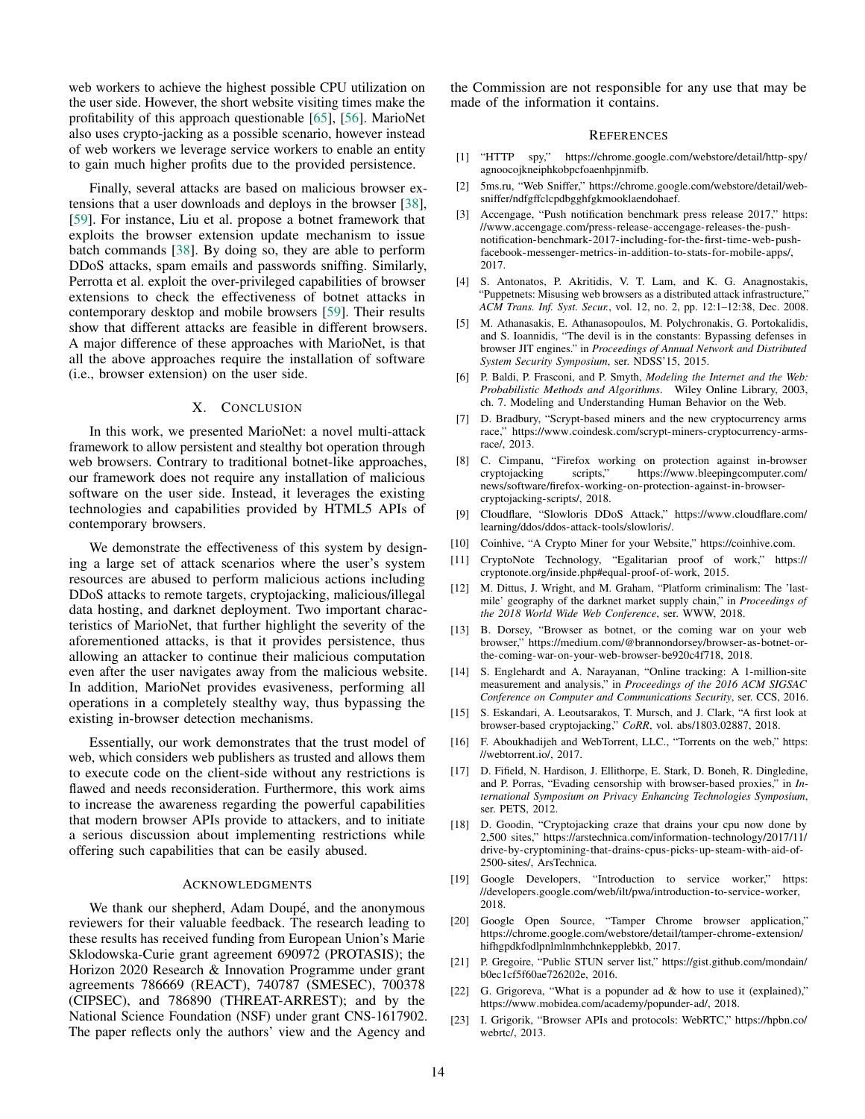web workers to achieve the highest possible CPU utilization on the user side. However, the short website visiting times make the profitability of this approach questionable [\[65\]](#page-14-26), [\[56\]](#page-14-46). MarioNet also uses crypto-jacking as a possible scenario, however instead of web workers we leverage service workers to enable an entity to gain much higher profits due to the provided persistence.

Finally, several attacks are based on malicious browser extensions that a user downloads and deploys in the browser [\[38\]](#page-14-47), [\[59\]](#page-14-48). For instance, Liu et al. propose a botnet framework that exploits the browser extension update mechanism to issue batch commands [\[38\]](#page-14-47). By doing so, they are able to perform DDoS attacks, spam emails and passwords sniffing. Similarly, Perrotta et al. exploit the over-privileged capabilities of browser extensions to check the effectiveness of botnet attacks in contemporary desktop and mobile browsers [\[59\]](#page-14-48). Their results show that different attacks are feasible in different browsers. A major difference of these approaches with MarioNet, is that all the above approaches require the installation of software (i.e., browser extension) on the user side.

# X. CONCLUSION

In this work, we presented MarioNet: a novel multi-attack framework to allow persistent and stealthy bot operation through web browsers. Contrary to traditional botnet-like approaches, our framework does not require any installation of malicious software on the user side. Instead, it leverages the existing technologies and capabilities provided by HTML5 APIs of contemporary browsers.

We demonstrate the effectiveness of this system by designing a large set of attack scenarios where the user's system resources are abused to perform malicious actions including DDoS attacks to remote targets, cryptojacking, malicious/illegal data hosting, and darknet deployment. Two important characteristics of MarioNet, that further highlight the severity of the aforementioned attacks, is that it provides persistence, thus allowing an attacker to continue their malicious computation even after the user navigates away from the malicious website. In addition, MarioNet provides evasiveness, performing all operations in a completely stealthy way, thus bypassing the existing in-browser detection mechanisms.

Essentially, our work demonstrates that the trust model of web, which considers web publishers as trusted and allows them to execute code on the client-side without any restrictions is flawed and needs reconsideration. Furthermore, this work aims to increase the awareness regarding the powerful capabilities that modern browser APIs provide to attackers, and to initiate a serious discussion about implementing restrictions while offering such capabilities that can be easily abused.

# ACKNOWLEDGMENTS

We thank our shepherd, Adam Doupé, and the anonymous reviewers for their valuable feedback. The research leading to these results has received funding from European Union's Marie Sklodowska-Curie grant agreement 690972 (PROTASIS); the Horizon 2020 Research & Innovation Programme under grant agreements 786669 (REACT), 740787 (SMESEC), 700378 (CIPSEC), and 786890 (THREAT-ARREST); and by the National Science Foundation (NSF) under grant CNS-1617902. The paper reflects only the authors' view and the Agency and

the Commission are not responsible for any use that may be made of the information it contains.

# **REFERENCES**

- <span id="page-13-21"></span>[1] "HTTP spy," https://chrome.google.[com/webstore/detail/http-spy/](https://chrome.google.com/webstore/detail/http-spy/agnoocojkneiphkobpcfoaenhpjnmifb) [agnoocojkneiphkobpcfoaenhpjnmifb.](https://chrome.google.com/webstore/detail/http-spy/agnoocojkneiphkobpcfoaenhpjnmifb)
- <span id="page-13-20"></span>[2] 5ms.ru, "Web Sniffer," https://chrome.google.[com/webstore/detail/web](https://chrome.google.com/webstore/detail/web-sniffer/ndfgffclcpdbgghfgkmooklaendohaef)[sniffer/ndfgffclcpdbgghfgkmooklaendohaef.](https://chrome.google.com/webstore/detail/web-sniffer/ndfgffclcpdbgghfgkmooklaendohaef)
- <span id="page-13-11"></span>[3] Accengage, "Push notification benchmark press release 2017," [https:](https://www.accengage.com/press-release-accengage-releases-the-push-notification-benchmark-2017-including-for-the-first-time-web-push-facebook-messenger-metrics-in-addition-to-stats-for-mobile-apps/) //www.accengage.[com/press-release-accengage-releases-the-push](https://www.accengage.com/press-release-accengage-releases-the-push-notification-benchmark-2017-including-for-the-first-time-web-push-facebook-messenger-metrics-in-addition-to-stats-for-mobile-apps/)[notification-benchmark-2017-including-for-the-first-time-web-push](https://www.accengage.com/press-release-accengage-releases-the-push-notification-benchmark-2017-including-for-the-first-time-web-push-facebook-messenger-metrics-in-addition-to-stats-for-mobile-apps/)[facebook-messenger-metrics-in-addition-to-stats-for-mobile-apps/,](https://www.accengage.com/press-release-accengage-releases-the-push-notification-benchmark-2017-including-for-the-first-time-web-push-facebook-messenger-metrics-in-addition-to-stats-for-mobile-apps/) 2017.
- <span id="page-13-1"></span>[4] S. Antonatos, P. Akritidis, V. T. Lam, and K. G. Anagnostakis, "Puppetnets: Misusing web browsers as a distributed attack infrastructure," *ACM Trans. Inf. Syst. Secur.*, vol. 12, no. 2, pp. 12:1–12:38, Dec. 2008.
- <span id="page-13-7"></span>[5] M. Athanasakis, E. Athanasopoulos, M. Polychronakis, G. Portokalidis, and S. Ioannidis, "The devil is in the constants: Bypassing defenses in browser JIT engines." in *Proceedings of Annual Network and Distributed System Security Symposium*, ser. NDSS'15, 2015.
- <span id="page-13-19"></span>[6] P. Baldi, P. Frasconi, and P. Smyth, *Modeling the Internet and the Web: Probabilistic Methods and Algorithms*. Wiley Online Library, 2003, ch. 7. Modeling and Understanding Human Behavior on the Web.
- <span id="page-13-15"></span>[7] D. Bradbury, "Scrypt-based miners and the new cryptocurrency arms race," https://www.coindesk.[com/scrypt-miners-cryptocurrency-arms](https://www.coindesk.com/scrypt-miners-cryptocurrency-arms-race/)[race/,](https://www.coindesk.com/scrypt-miners-cryptocurrency-arms-race/) 2013.
- <span id="page-13-10"></span>[8] C. Cimpanu, "Firefox working on protection against in-browser cryptojacking scripts," https://www.[bleepingcomputer](https://www.bleepingcomputer.com/news/ software/firefox-working-on-protection-against-in-browser-cryptojacking-scripts/).com/ [news/software/firefox-working-on-protection-against-in-browser](https://www.bleepingcomputer.com/news/ software/firefox-working-on-protection-against-in-browser-cryptojacking-scripts/)[cryptojacking-scripts/,](https://www.bleepingcomputer.com/news/ software/firefox-working-on-protection-against-in-browser-cryptojacking-scripts/) 2018.
- <span id="page-13-12"></span>[9] Cloudflare, "Slowloris DDoS Attack," [https://www](https://www.cloudflare.com/learning/ddos/ddos-attack-tools/slowloris/).cloudflare.com/ [learning/ddos/ddos-attack-tools/slowloris/.](https://www.cloudflare.com/learning/ddos/ddos-attack-tools/slowloris/)
- <span id="page-13-14"></span>[10] Coinhive, "A Crypto Miner for your Website," [https://coinhive](https://coinhive.com).com.
- <span id="page-13-13"></span>[11] CryptoNote Technology, "Egalitarian proof of work," [https://](https://cryptonote.org/inside.php#equal-proof-of-work) cryptonote.org/inside.[php#equal-proof-of-work,](https://cryptonote.org/inside.php#equal-proof-of-work) 2015.
- <span id="page-13-17"></span>[12] M. Dittus, J. Wright, and M. Graham, "Platform criminalism: The 'lastmile' geography of the darknet market supply chain," in *Proceedings of the 2018 World Wide Web Conference*, ser. WWW, 2018.
- <span id="page-13-8"></span>[13] B. Dorsey, "Browser as botnet, or the coming war on your web browser," https://medium.[com/@brannondorsey/browser-as-botnet-or](https://medium.com/@brannondorsey/browser-as-botnet-or-the-coming-war-on-your-web-browser-be920c4f718)[the-coming-war-on-your-web-browser-be920c4f718,](https://medium.com/@brannondorsey/browser-as-botnet-or-the-coming-war-on-your-web-browser-be920c4f718) 2018.
- <span id="page-13-5"></span>[14] S. Englehardt and A. Narayanan, "Online tracking: A 1-million-site measurement and analysis," in *Proceedings of the 2016 ACM SIGSAC Conference on Computer and Communications Security*, ser. CCS, 2016.
- <span id="page-13-22"></span>[15] S. Eskandari, A. Leoutsarakos, T. Mursch, and J. Clark, "A first look at browser-based cryptojacking," *CoRR*, vol. abs/1803.02887, 2018.
- <span id="page-13-16"></span>[16] F. Aboukhadijeh and WebTorrent, LLC., "Torrents on the web," [https:](https://webtorrent.io/) [//webtorrent](https://webtorrent.io/).io/, 2017.
- <span id="page-13-18"></span>[17] D. Fifield, N. Hardison, J. Ellithorpe, E. Stark, D. Boneh, R. Dingledine, and P. Porras, "Evading censorship with browser-based proxies," in *International Symposium on Privacy Enhancing Technologies Symposium*, ser. PETS, 2012.
- <span id="page-13-0"></span>[18] D. Goodin, "Cryptojacking craze that drains your cpu now done by 2,500 sites," https://arstechnica.[com/information-technology/2017/11/](https://arstechnica.com/information-technology/2017/11/drive-by-cryptomining-that-drains-cpus-picks-up-steam-with-aid-of-2500-sites/) [drive-by-cryptomining-that-drains-cpus-picks-up-steam-with-aid-of-](https://arstechnica.com/information-technology/2017/11/drive-by-cryptomining-that-drains-cpus-picks-up-steam-with-aid-of-2500-sites/)[2500-sites/,](https://arstechnica.com/information-technology/2017/11/drive-by-cryptomining-that-drains-cpus-picks-up-steam-with-aid-of-2500-sites/) ArsTechnica.
- <span id="page-13-9"></span>[19] Google Developers, "Introduction to service worker," [https:](https://developers.google.com/web/ilt/pwa/introduction-to-service-worker) //developers.google.[com/web/ilt/pwa/introduction-to-service-worker,](https://developers.google.com/web/ilt/pwa/introduction-to-service-worker) 2018.
- <span id="page-13-6"></span>[20] Google Open Source, "Tamper Chrome browser application," https://chrome.google.[com/webstore/detail/tamper-chrome-extension/](https://chrome.google.com/webstore/detail/tamper-chrome-extension/hifhgpdkfodlpnlmlnmhchnkepplebkb) [hifhgpdkfodlpnlmlnmhchnkepplebkb,](https://chrome.google.com/webstore/detail/tamper-chrome-extension/hifhgpdkfodlpnlmlnmhchnkepplebkb) 2017.
- <span id="page-13-3"></span>[21] P. Gregoire, "Public STUN server list," https://gist.github.[com/mondain/](https://gist.github.com/mondain/b0ec1cf5f60ae726202e) [b0ec1cf5f60ae726202e,](https://gist.github.com/mondain/b0ec1cf5f60ae726202e) 2016.
- <span id="page-13-4"></span>[22] G. Grigoreva, "What is a popunder ad & how to use it (explained)," https://www.mobidea.[com/academy/popunder-ad/,](https://www.mobidea.com/academy/popunder-ad/) 2018.
- <span id="page-13-2"></span>[23] I. Grigorik, "Browser APIs and protocols: WebRTC," [https://hpbn](https://hpbn.co/webrtc/).co/ [webrtc/,](https://hpbn.co/webrtc/) 2013.